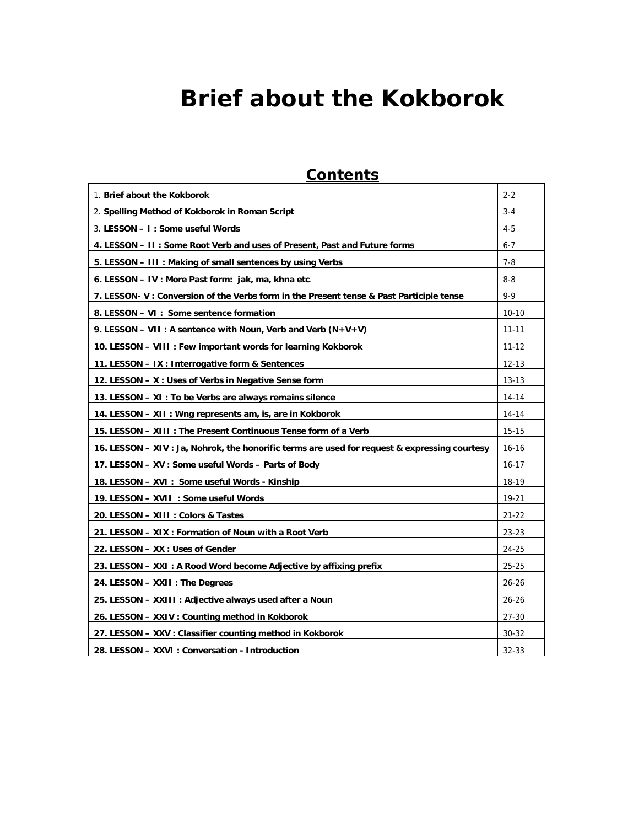# **Brief about the Kokborok**

| <b>Contents</b>                                                                               |           |
|-----------------------------------------------------------------------------------------------|-----------|
| 1. Brief about the Kokborok                                                                   | $2 - 2$   |
| 2. Spelling Method of Kokborok in Roman Script                                                | $3 - 4$   |
| 3. LESSON - I : Some useful Words                                                             | $4 - 5$   |
| 4. LESSON - II: Some Root Verb and uses of Present, Past and Future forms                     | $6 - 7$   |
| 5. LESSON - III : Making of small sentences by using Verbs                                    | $7 - 8$   |
| 6. LESSON - IV : More Past form: jak, ma, khna etc.                                           | $8 - 8$   |
| 7. LESSON-V: Conversion of the Verbs form in the Present tense & Past Participle tense        | $9 - 9$   |
| 8. LESSON - VI : Some sentence formation                                                      | $10 - 10$ |
| 9. LESSON - VII : A sentence with Noun, Verb and Verb $(N+V+V)$                               | $11 - 11$ |
| 10. LESSON – VIII : Few important words for learning Kokborok                                 | $11 - 12$ |
| 11. LESSON – IX : Interrogative form & Sentences                                              | $12 - 13$ |
| 12. LESSON - X: Uses of Verbs in Negative Sense form                                          | $13 - 13$ |
| 13. LESSON - XI : To be Verbs are always remains silence                                      | 14-14     |
| 14. LESSON – XII : Wng represents am, is, are in Kokborok                                     | 14-14     |
| 15. LESSON - XIII : The Present Continuous Tense form of a Verb                               | $15 - 15$ |
| 16. LESSON - XIV : Ja, Nohrok, the honorific terms are used for request & expressing courtesy | $16 - 16$ |
| 17. LESSON - XV : Some useful Words - Parts of Body                                           | $16 - 17$ |
| 18. LESSON - XVI : Some useful Words - Kinship                                                | 18-19     |
| 19. LESSON - XVII : Some useful Words                                                         | 19-21     |
| 20. LESSON - XIII : Colors & Tastes                                                           | $21 - 22$ |
| 21. LESSON – XIX : Formation of Noun with a Root Verb                                         | $23 - 23$ |
| 22. LESSON - XX : Uses of Gender                                                              | 24-25     |
| 23. LESSON - XXI : A Rood Word become Adjective by affixing prefix                            | $25 - 25$ |
| 24. LESSON - XXII : The Degrees                                                               | $26 - 26$ |
| 25. LESSON - XXIII : Adjective always used after a Noun                                       | $26 - 26$ |
| 26. LESSON - XXIV : Counting method in Kokborok                                               | $27 - 30$ |
| 27. LESSON - XXV : Classifier counting method in Kokborok                                     | $30 - 32$ |
| 28. LESSON - XXVI : Conversation - Introduction                                               | $32 - 33$ |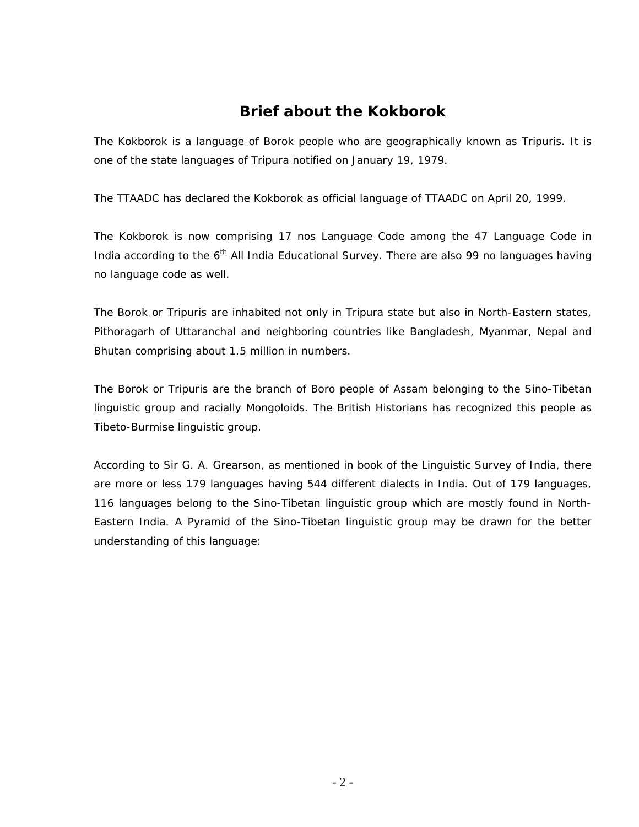#### **Brief about the Kokborok**

<span id="page-1-0"></span>The Kokborok is a language of Borok people who are geographically known as Tripuris. It is one of the state languages of Tripura notified on January 19, 1979.

The TTAADC has declared the Kokborok as official language of TTAADC on April 20, 1999.

The Kokborok is now comprising 17 nos Language Code among the 47 Language Code in India according to the  $6<sup>th</sup>$  All India Educational Survey. There are also 99 no languages having no language code as well.

The Borok or Tripuris are inhabited not only in Tripura state but also in North-Eastern states, Pithoragarh of Uttaranchal and neighboring countries like Bangladesh, Myanmar, Nepal and Bhutan comprising about 1.5 million in numbers.

The Borok or Tripuris are the branch of Boro people of Assam belonging to the Sino-Tibetan linguistic group and racially Mongoloids. The British Historians has recognized this people as Tibeto-Burmise linguistic group.

According to Sir G. A. Grearson, as mentioned in book of the Linguistic Survey of India, there are more or less 179 languages having 544 different dialects in India. Out of 179 languages, 116 languages belong to the Sino-Tibetan linguistic group which are mostly found in North-Eastern India. A Pyramid of the Sino-Tibetan linguistic group may be drawn for the better understanding of this language: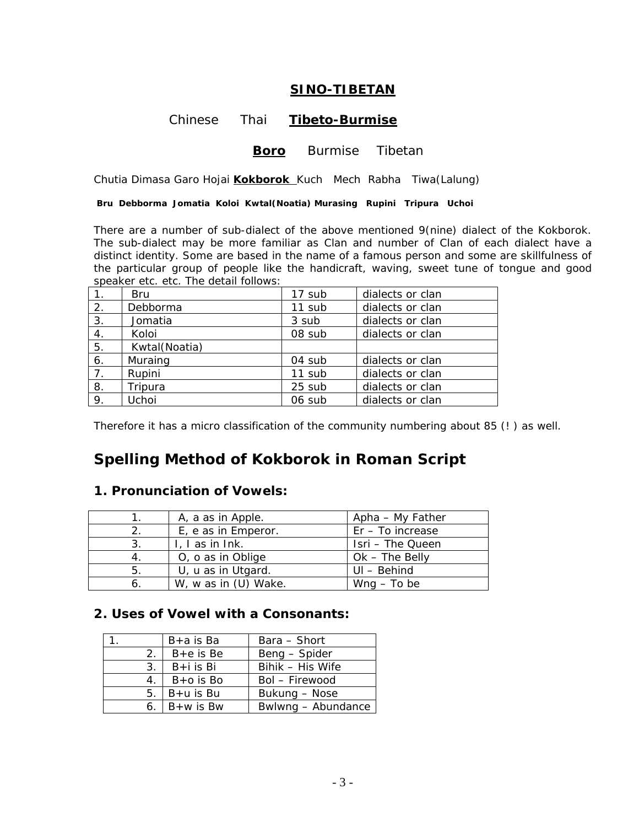#### **SINO-TIBETAN**

#### Chinese Thai **Tibeto-Burmise**

#### **Boro** Burmise Tibetan

<span id="page-2-0"></span>Chutia Dimasa Garo Hojai **Kokborok** Kuch Mech Rabha Tiwa(Lalung)

 **Bru Debborma Jomatia Koloi Kwtal(Noatia) Murasing Rupini Tripura Uchoi** 

There are a number of sub-dialect of the above mentioned 9(nine) dialect of the Kokborok. The sub-dialect may be more familiar as Clan and number of Clan of each dialect have a distinct identity. Some are based in the name of a famous person and some are skillfulness of the particular group of people like the handicraft, waving, sweet tune of tongue and good speaker etc. etc. The detail follows:

| 1. | Bru           | 17 sub | dialects or clan |
|----|---------------|--------|------------------|
| 2. | Debborma      | 11 sub | dialects or clan |
| 3. | Jomatia       | 3 sub  | dialects or clan |
| 4. | Koloi         | 08 sub | dialects or clan |
| 5. | Kwtal(Noatia) |        |                  |
| 6. | Muraing       | 04 sub | dialects or clan |
| 7. | Rupini        | 11 sub | dialects or clan |
| 8. | Tripura       | 25 sub | dialects or clan |
| 9. | Uchoi         | 06 sub | dialects or clan |

Therefore it has a micro classification of the community numbering about 85 (! ) as well.

#### **Spelling Method of Kokborok in Roman Script**

#### **1. Pronunciation of Vowels:**

|    | A, a as in Apple.    | Apha – My Father   |
|----|----------------------|--------------------|
|    | E, e as in Emperor.  | Er - To increase   |
| 3. | L. Las in Ink.       | Isri - The Queen   |
| 4. | O, o as in Oblige    | $Ok$ – The Belly   |
| 5. | U, u as in Utgard.   | $UI - Behind$      |
| 6. | W, w as in (U) Wake. | $W \cap q$ – To be |

#### **2. Uses of Vowel with a Consonants:**

|    | B+a is Ba      | Bara - Short       |
|----|----------------|--------------------|
| 2. | $B + e$ is Be  | Beng – Spider      |
| 3. | $B + i$ is Bi  | Bihik - His Wife   |
|    | $B+o$ is Bo    | Bol - Firewood     |
| 5. | $B+u$ is Bu    | Bukung – Nose      |
|    | 6. $B+W$ is Bw | Bwlwng - Abundance |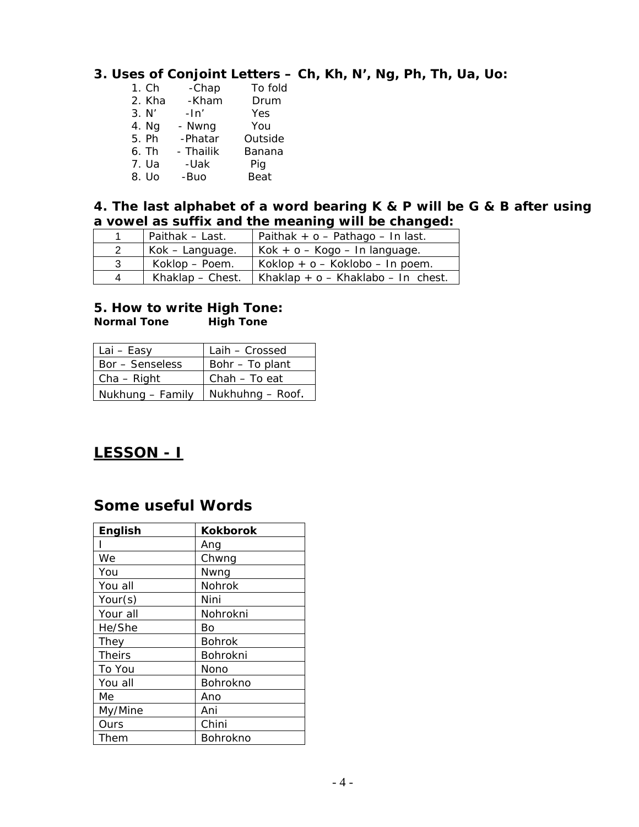#### <span id="page-3-0"></span>**3. Uses of Conjoint Letters – Ch, Kh, N', Ng, Ph, Th, Ua, Uo:**

| 1. Ch  | -Chap     | To fold |
|--------|-----------|---------|
| 2. Kha | -Kham     | Drum    |
| 3. N'  | $-ln'$    | Yes     |
| 4. Ng  | - Nwng    | You     |
| 5. Ph  | -Phatar   | Outside |
| 6. Th  | - Thailik | Banana  |
| 7. Ua  | -Uak      | Pig     |
| 8. Uo  | -Buo      | Beat    |
|        |           |         |

#### **4. The last alphabet of a word bearing K & P will be G & B after using a vowel as suffix and the meaning will be changed:**

|    | Paithak – Last.    | Paithak + $o$ - Pathago - In last. |
|----|--------------------|------------------------------------|
|    | Kok – Language.    | $Kok + o - Kogo - In language.$    |
| -3 | Koklop – Poem.     | Koklop + $o$ – Koklobo – In poem.  |
| Δ  | Khaklap $-$ Chest. | Khaklap + o - Khaklabo - In chest. |

#### **5. How to write High Tone:**

*Normal Tone High Tone*

| Lai – Easy       | Laih – Crossed   |
|------------------|------------------|
| Bor - Senseless  | Bohr – To plant  |
| $Cha - Right$    | Chah – To eat    |
| Nukhung - Family | Nukhuhng - Roof. |

## **LESSON - I**

#### **Some useful Words**

| English       | <b>Kokborok</b> |
|---------------|-----------------|
|               | Ang             |
| We            | Chwng           |
| You           | Nwng            |
| You all       | Nohrok          |
| Your(s)       | Nini            |
| Your all      | Nohrokni        |
| He/She        | Bo              |
| They          | <b>Bohrok</b>   |
| <b>Theirs</b> | Bohrokni        |
| To You        | Nono            |
| You all       | Bohrokno        |
| Мe            | Ano             |
| My/Mine       | Ani             |
| Ours          | Chini           |
| Them          | Bohrokno        |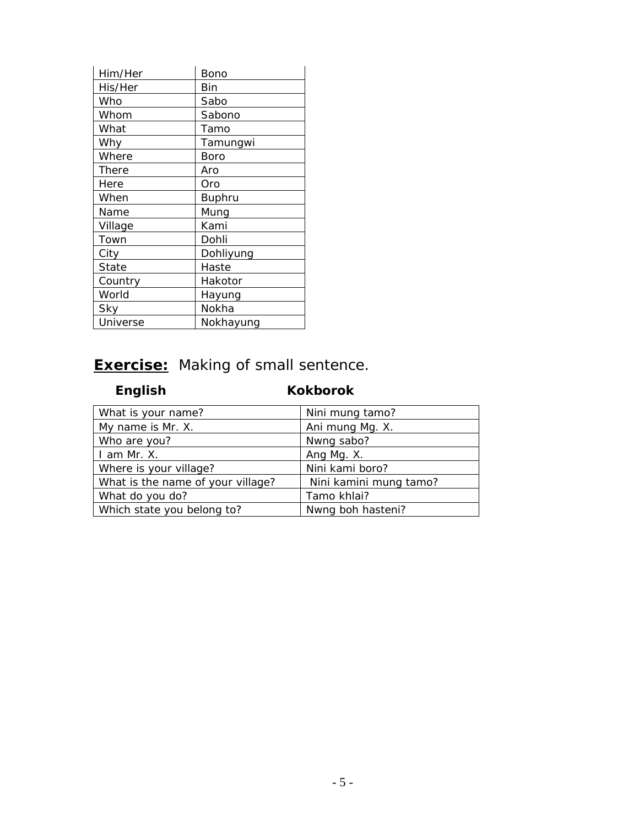| Him/Her  | Bono          |
|----------|---------------|
| His/Her  | Bin           |
| Who      | Sabo          |
| Whom     | Sabono        |
| What     | Tamo          |
| Why      | Tamungwi      |
| Where    | Boro          |
| There    | Aro           |
| Here     | Oro           |
| When     | <b>Buphru</b> |
| Name     | Mung          |
| Village  | Kami          |
| Town     | Dohli         |
| City     | Dohliyung     |
| State    | Haste         |
| Country  | Hakotor       |
| World    | Hayung        |
| Sky      | Nokha         |
| Universe | Nokhayung     |

# **Exercise:** Making of small sentence.

# *English Kokborok*

| What is your name?                | Nini mung tamo?        |
|-----------------------------------|------------------------|
| My name is Mr. X.                 | Ani mung Mg. X.        |
| Who are you?                      | Nwng sabo?             |
| I am Mr. X.                       | Ang Mg. X.             |
| Where is your village?            | Nini kami boro?        |
| What is the name of your village? | Nini kamini mung tamo? |
| What do you do?                   | Tamo khlai?            |
| Which state you belong to?        | Nwng boh hasteni?      |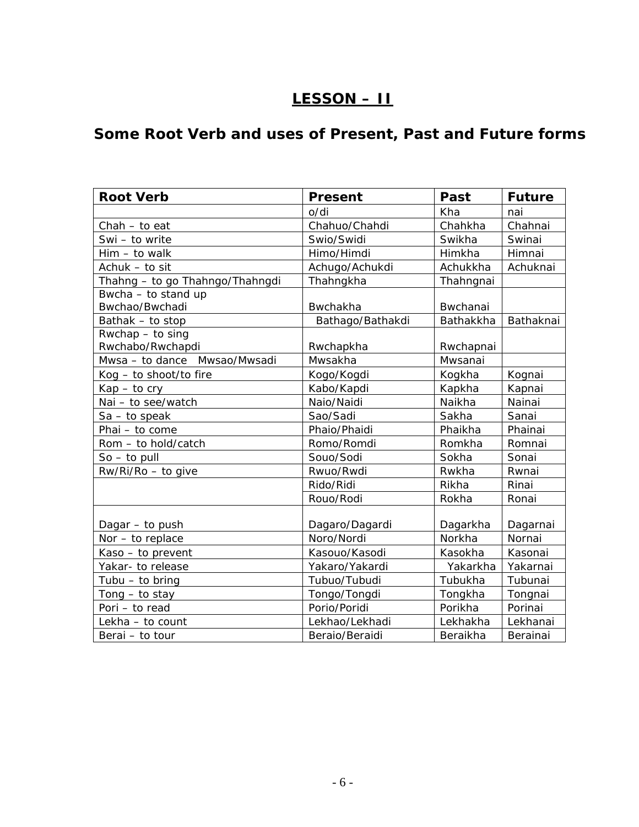# **LESSON – II**

# <span id="page-5-0"></span>**Some Root Verb and uses of Present, Past and Future forms**

| <b>Root Verb</b>                | <b>Present</b>   | Past      | <b>Future</b> |
|---------------------------------|------------------|-----------|---------------|
|                                 | o/di             | Kha       | nai           |
| $Chah - to eat$                 | Chahuo/Chahdi    | Chahkha   | Chahnai       |
| Swi - to write                  | Swio/Swidi       | Swikha    | Swinai        |
| $Him - to walk$                 | Himo/Himdi       | Himkha    | Himnai        |
| Achuk - to sit                  | Achugo/Achukdi   | Achukkha  | Achuknai      |
| Thahng - to go Thahngo/Thahngdi | Thahngkha        | Thahngnai |               |
| Bwcha - to stand up             |                  |           |               |
| Bwchao/Bwchadi                  | Bwchakha         | Bwchanai  |               |
| Bathak - to stop                | Bathago/Bathakdi | Bathakkha | Bathaknai     |
| Rwchap - to sing                |                  |           |               |
| Rwchabo/Rwchapdi                | Rwchapkha        | Rwchapnai |               |
| Mwsa - to dance Mwsao/Mwsadi    | Mwsakha          | Mwsanai   |               |
| Kog - to shoot/to fire          | Kogo/Kogdi       | Kogkha    | Kognai        |
| $Kap - to cry$                  | Kabo/Kapdi       | Kapkha    | Kapnai        |
| Nai - to see/watch              | Naio/Naidi       | Naikha    | Nainai        |
| $Sa - to speak$                 | Sao/Sadi         | Sakha     | Sanai         |
| Phai - to come                  | Phaio/Phaidi     | Phaikha   | Phainai       |
| Rom - to hold/catch             | Romo/Romdi       | Romkha    | Romnai        |
| $So - to pull$                  | Souo/Sodi        | Sokha     | Sonai         |
| Rw/Ri/Ro - to give              | Rwuo/Rwdi        | Rwkha     | Rwnai         |
|                                 | Rido/Ridi        | Rikha     | Rinai         |
|                                 | Rouo/Rodi        | Rokha     | Ronai         |
|                                 |                  |           |               |
| Dagar - to push                 | Dagaro/Dagardi   | Dagarkha  | Dagarnai      |
| Nor - to replace                | Noro/Nordi       | Norkha    | Nornai        |
| Kaso - to prevent               | Kasouo/Kasodi    | Kasokha   | Kasonai       |
| Yakar- to release               | Yakaro/Yakardi   | Yakarkha  | Yakarnai      |
| Tubu $-$ to bring               | Tubuo/Tubudi     | Tubukha   | Tubunai       |
| Tong $-$ to stay                | Tongo/Tongdi     | Tongkha   | Tongnai       |
| Pori - to read                  | Porio/Poridi     | Porikha   | Porinai       |
| Lekha - to count                | Lekhao/Lekhadi   | Lekhakha  | Lekhanai      |
| Berai - to tour                 | Beraio/Beraidi   | Beraikha  | Berainai      |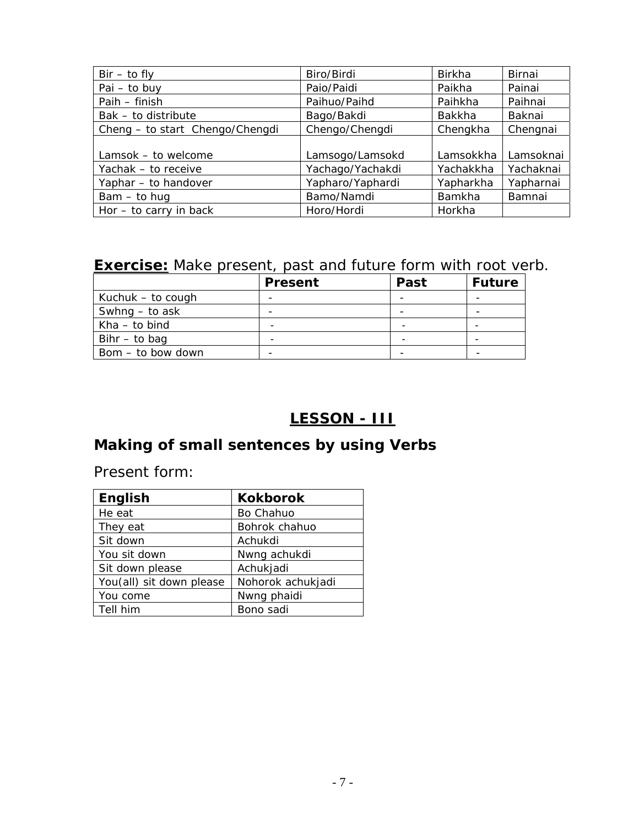<span id="page-6-0"></span>

| $Bir - to fly$                  | Biro/Birdi       | <b>Birkha</b> | Birnai    |
|---------------------------------|------------------|---------------|-----------|
| $Pai - to buy$                  | Paio/Paidi       | Paikha        | Painai    |
| Paih - finish                   | Paihuo/Paihd     | Paihkha       | Paihnai   |
| Bak - to distribute             | Bago/Bakdi       | Bakkha        | Baknai    |
| Cheng - to start Chengo/Chengdi | Chengo/Chengdi   | Chengkha      | Chengnai  |
|                                 |                  |               |           |
| Lamsok - to welcome             | Lamsogo/Lamsokd  | Lamsokkha     | Lamsoknai |
| Yachak - to receive             | Yachago/Yachakdi | Yachakkha     | Yachaknai |
| Yaphar - to handover            | Yapharo/Yaphardi | Yapharkha     | Yapharnai |
| $Bam - to huq$                  | Bamo/Namdi       | <b>Bamkha</b> | Bamnai    |
| Hor $-$ to carry in back        | Horo/Hordi       | Horkha        |           |

# **Exercise:** Make present, past and future form with root verb.

|                   | <b>Present</b> | <b>Past</b> | <b>Future</b> |
|-------------------|----------------|-------------|---------------|
| Kuchuk – to cough |                |             |               |
| Swhng – to ask    |                |             |               |
| $Kha - to bind$   | -              |             |               |
| Bihr $-$ to bag   |                |             |               |
| Bom – to bow down |                |             |               |

# **LESSON - III**

# **Making of small sentences by using Verbs**

Present form:

| <b>English</b>           | <b>Kokborok</b>   |
|--------------------------|-------------------|
| He eat                   | Bo Chahuo         |
| They eat                 | Bohrok chahuo     |
| Sit down                 | Achukdi           |
| You sit down             | Nwng achukdi      |
| Sit down please          | Achukjadi         |
| You(all) sit down please | Nohorok achukjadi |
| You come                 | Nwng phaidi       |
| Tell him                 | Bono sadi         |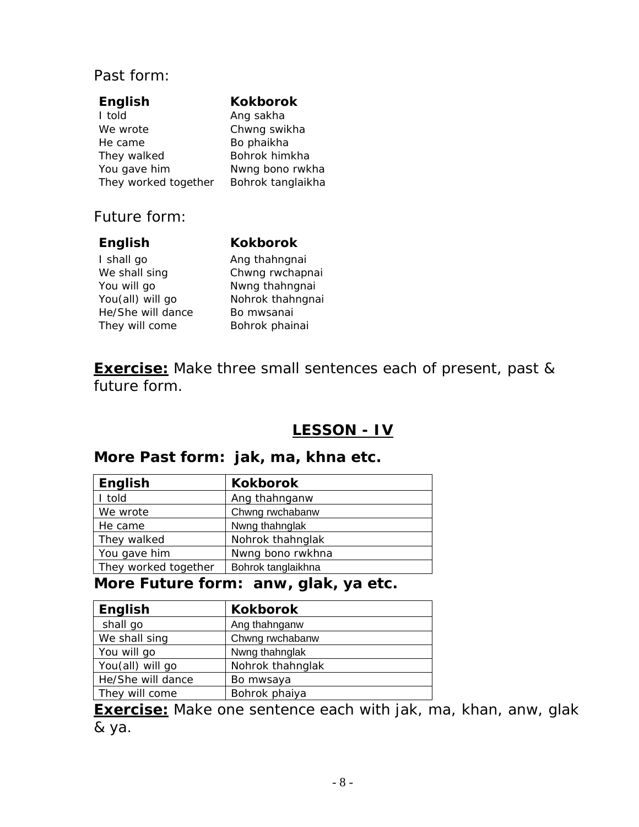#### <span id="page-7-0"></span>Past form:

| <b>English</b>       | <b>Kokborok</b>   |
|----------------------|-------------------|
| I told               | Ang sakha         |
| We wrote             | Chwng swikha      |
| He came              | Bo phaikha        |
| They walked          | Bohrok himkha     |
| You gave him         | Nwng bono rwkha   |
| They worked together | Bohrok tanglaikha |
|                      |                   |

## Future form:

#### **English Kokborok**

I shall go Ang thahngnai We shall sing **Chwng rwchapnai** You will go Nwng thahngnai You(all) will go Nohrok thahngnai He/She will dance Bo mwsanai They will come Bohrok phainai

**Exercise:** Make three small sentences each of present, past & future form.

# **LESSON - IV**

#### **More Past form: jak, ma, khna etc.**

| English              | <b>Kokborok</b>    |
|----------------------|--------------------|
| I told               | Ang thahnganw      |
| We wrote             | Chwng rwchabanw    |
| He came              | Nwng thahnglak     |
| They walked          | Nohrok thahnglak   |
| You gave him         | Nwng bono rwkhna   |
| They worked together | Bohrok tanglaikhna |

#### **More Future form: anw, glak, ya etc.**

| English           | <b>Kokborok</b>  |
|-------------------|------------------|
| shall go          | Ang thahnganw    |
| We shall sing     | Chwng rwchabanw  |
| You will go       | Nwng thahnglak   |
| You(all) will go  | Nohrok thahnglak |
| He/She will dance | Bo mwsaya        |
| They will come    | Bohrok phaiya    |

**Exercise:** Make one sentence each with jak, ma, khan, anw, glak & ya.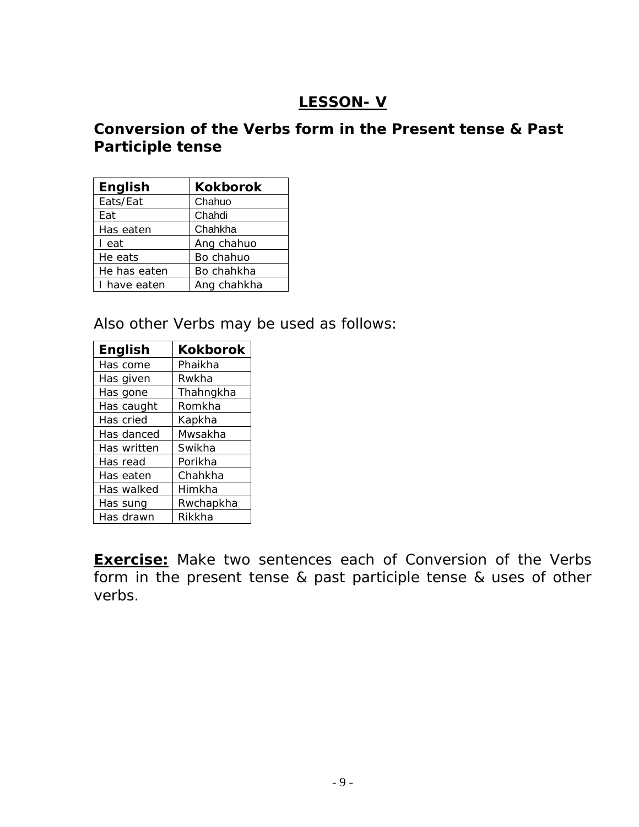# **LESSON- V**

# <span id="page-8-0"></span>**Conversion of the Verbs form in the Present tense & Past Participle tense**

| English      | <b>Kokborok</b> |
|--------------|-----------------|
| Eats/Eat     | Chahuo          |
| Eat          | Chahdi          |
| Has eaten    | Chahkha         |
| I eat        | Ang chahuo      |
| He eats      | Bo chahuo       |
| He has eaten | Bo chahkha      |
| have eaten   | Ang chahkha     |

Also other Verbs may be used as follows:

| <b>English</b> | <b>Kokborok</b> |
|----------------|-----------------|
| Has come       | Phaikha         |
| Has given      | Rwkha           |
| Has gone       | Thahngkha       |
| Has caught     | Romkha          |
| Has cried      | Kapkha          |
| Has danced     | Mwsakha         |
| Has written    | Swikha          |
| Has read       | Porikha         |
| Has eaten      | Chahkha         |
| Has walked     | Himkha          |
| Has sung       | Rwchapkha       |
| Has drawn      | Rikkha          |

**Exercise:** Make two sentences each of Conversion of the Verbs form in the present tense & past participle tense & uses of other verbs.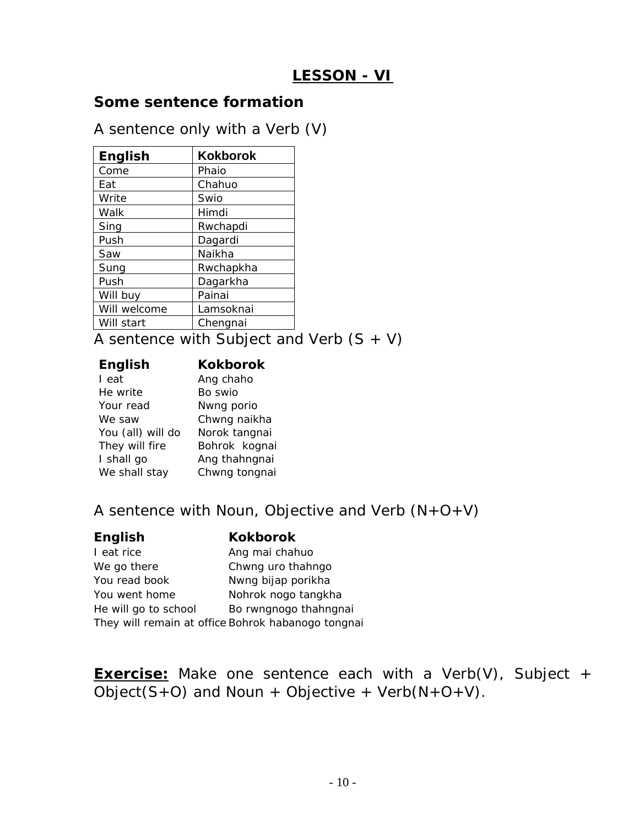# **LESSON - VI**

#### <span id="page-9-0"></span>**Some sentence formation**

A sentence only with a Verb (V)

| <b>English</b> | <b>Kokborok</b> |
|----------------|-----------------|
| Come           | Phaio           |
| Eat            | Chahuo          |
| Write          | Swio            |
| Walk           | Himdi           |
| Sing           | Rwchapdi        |
| Push           | Dagardi         |
| Saw            | Naikha          |
| Sung           | Rwchapkha       |
| Push           | Dagarkha        |
| Will buy       | Painai          |
| Will welcome   | Lamsoknai       |
| Will start     | Chengnai        |

A sentence with Subject and Verb  $(S + V)$ 

| <b>English</b>    | <b>Kokborok</b> |
|-------------------|-----------------|
| I eat             | Ang chaho       |
| He write          | Bo swio         |
| Your read         | Nwng porio      |
| We saw            | Chwng naikha    |
| You (all) will do | Norok tangnai   |
| They will fire    | Bohrok kognai   |
| I shall go        | Ang thahngnai   |
| We shall stay     | Chwng tongnai   |

A sentence with Noun, Objective and Verb  $(N+O+V)$ 

| <b>English</b>       | <b>Kokborok</b>                                    |
|----------------------|----------------------------------------------------|
| I eat rice           | Ang mai chahuo                                     |
| We go there          | Chwng uro thahngo                                  |
| You read book        | Nwng bijap porikha                                 |
| You went home        | Nohrok nogo tangkha                                |
| He will go to school | Bo rwngnogo thahngnai                              |
|                      | They will remain at office Bohrok habanogo tongnai |

**Exercise:** Make one sentence each with a Verb(V), Subject +  $\overline{Object(S+O)}$  and Noun + Objective + Verb(N+O+V).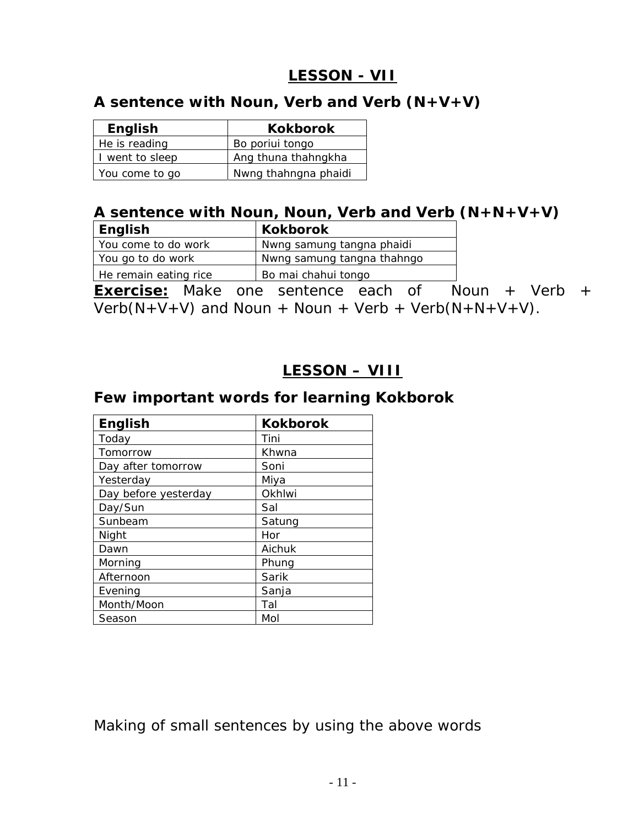# **LESSON - VII**

### <span id="page-10-0"></span>**A sentence with Noun, Verb and Verb (N+V+V)**

| English         | <b>Kokborok</b>      |
|-----------------|----------------------|
| He is reading   | Bo poriui tongo      |
| I went to sleep | Ang thuna thahngkha  |
| You come to go  | Nwng thahngna phaidi |

#### **A sentence with Noun, Noun, Verb and Verb (N+N+V+V)**

| English               | <b>Kokborok</b>            |
|-----------------------|----------------------------|
| Vou come to do work   | Nwng samung tangna phaidi  |
| You go to do work     | Nwng samung tangna thahngo |
| He remain eating rice | Bo mai chahui tongo        |

**Exercise:** Make one sentence each of Noun + Verb + Verb( $N+V+V$ ) and Noun + Noun + Verb + Verb( $N+N+V+V$ ).

## **LESSON – VIII**

#### **Few important words for learning Kokborok**

| <b>English</b>       | <b>Kokborok</b> |
|----------------------|-----------------|
| Today                | Tini            |
| Tomorrow             | Khwna           |
| Day after tomorrow   | Soni            |
| Yesterday            | Miya            |
| Day before yesterday | Okhlwi          |
| Day/Sun              | Sal             |
| Sunbeam              | Satung          |
| Night                | Hor             |
| Dawn                 | Aichuk          |
| Morning              | Phung           |
| Afternoon            | Sarik           |
| Evening              | Sanja           |
| Month/Moon           | Tal             |
| Season               | Mol             |

Making of small sentences by using the above words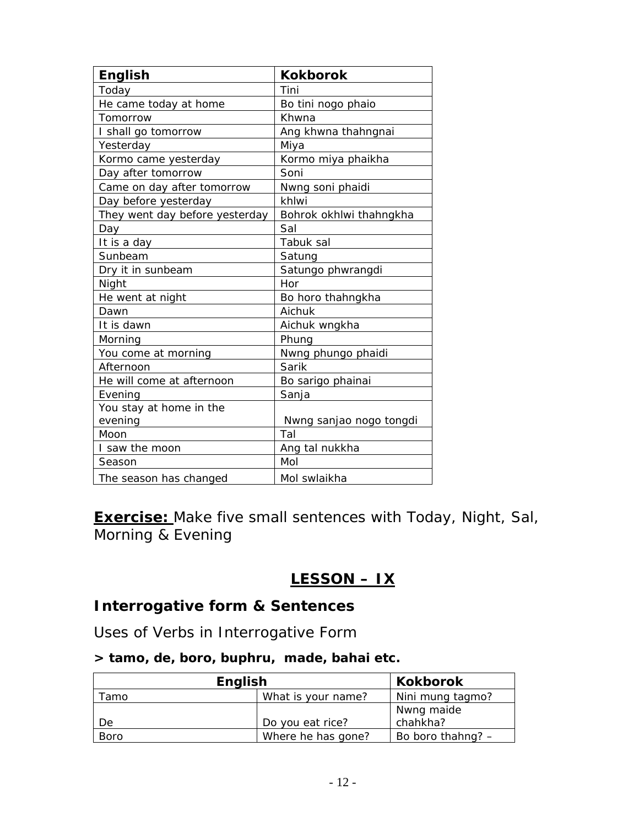<span id="page-11-0"></span>

| <b>English</b>                 | <b>Kokborok</b>         |
|--------------------------------|-------------------------|
| Today                          | Tini                    |
| He came today at home          | Bo tini nogo phaio      |
| Tomorrow                       | Khwna                   |
| I shall go tomorrow            | Ang khwna thahngnai     |
| Yesterday                      | Miya                    |
| Kormo came yesterday           | Kormo miya phaikha      |
| Day after tomorrow             | Soni                    |
| Came on day after tomorrow     | Nwng soni phaidi        |
| Day before yesterday           | khlwi                   |
| They went day before yesterday | Bohrok okhlwi thahngkha |
| Day                            | Sal                     |
| It is a day                    | Tabuk sal               |
| Sunbeam                        | Satung                  |
| Dry it in sunbeam              | Satungo phwrangdi       |
| Night                          | Hor                     |
| He went at night               | Bo horo thahngkha       |
| Dawn                           | Aichuk                  |
| It is dawn                     | Aichuk wngkha           |
| Morning                        | Phung                   |
| You come at morning            | Nwng phungo phaidi      |
| Afternoon                      | Sarik                   |
| He will come at afternoon      | Bo sarigo phainai       |
| Evening                        | Sanja                   |
| You stay at home in the        |                         |
| evening                        | Nwng sanjao nogo tongdi |
| Moon                           | Tal                     |
| I saw the moon                 | Ang tal nukkha          |
| Season                         | Mol                     |
| The season has changed         | Mol swlaikha            |

**Exercise:** Make five small sentences with Today, Night, Sal, Morning & Evening

# **LESSON – IX**

# **Interrogative form & Sentences**

Uses of Verbs in Interrogative Form

#### **> tamo, de, boro, buphru, made, bahai etc.**

| <b>English</b> |                    | <b>Kokborok</b>   |
|----------------|--------------------|-------------------|
| Tamo           | What is your name? | Nini mung tagmo?  |
|                |                    | ' Nwng maide      |
| De             | Do you eat rice?   | chahkha?          |
| <b>Boro</b>    | Where he has gone? | Bo boro thahng? - |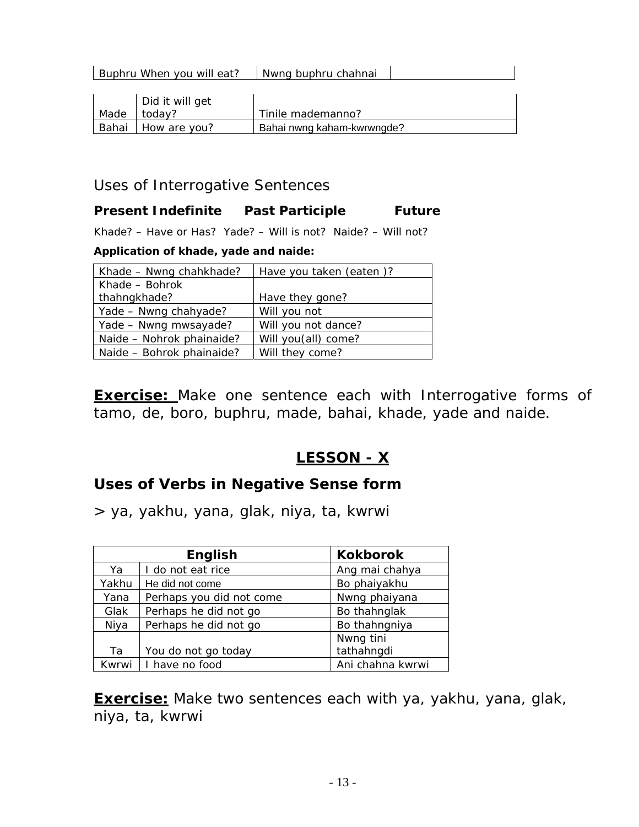<span id="page-12-0"></span>

|       | Buphru When you will eat? | Nwng buphru chahnai        |  |
|-------|---------------------------|----------------------------|--|
|       |                           |                            |  |
|       | Did it will get           |                            |  |
| Made  | today?                    | Tinile mademanno?          |  |
| Bahai | How are you?              | Bahai nwng kaham-kwrwngde? |  |

#### Uses of Interrogative Sentences

#### **Present Indefinite Past Participle Future**

Khade? – Have or Has? Yade? – Will is not? Naide? – Will not?

#### **Application of khade, yade and naide:**

| Khade - Nwng chahkhade?   | Have you taken (eaten)? |
|---------------------------|-------------------------|
| Khade – Bohrok            |                         |
| thahngkhade?              | Have they gone?         |
| Yade - Nwng chahyade?     | Will you not            |
| Yade - Nwng mwsayade?     | Will you not dance?     |
| Naide - Nohrok phainaide? | Will you(all) come?     |
| Naide - Bohrok phainaide? | Will they come?         |

**Exercise:** Make one sentence each with Interrogative forms of tamo, de, boro, buphru, made, bahai, khade, yade and naide.

# **LESSON - X**

## **Uses of Verbs in Negative Sense form**

> ya, yakhu, yana, glak, niya, ta, kwrwi

|       | <b>English</b>           | <b>Kokborok</b>  |
|-------|--------------------------|------------------|
| Ya    | I do not eat rice        | Ang mai chahya   |
| Yakhu | He did not come          | Bo phaiyakhu     |
| Yana  | Perhaps you did not come | Nwng phaiyana    |
| Glak  | Perhaps he did not go    | Bo thahnglak     |
| Niya  | Perhaps he did not go    | Bo thahngniya    |
|       |                          | Nwng tini        |
| Ta    | You do not go today      | tathahngdi       |
| Kwrwi | I have no food           | Ani chahna kwrwi |

**Exercise:** Make two sentences each with ya, yakhu, yana, glak, niya, ta, kwrwi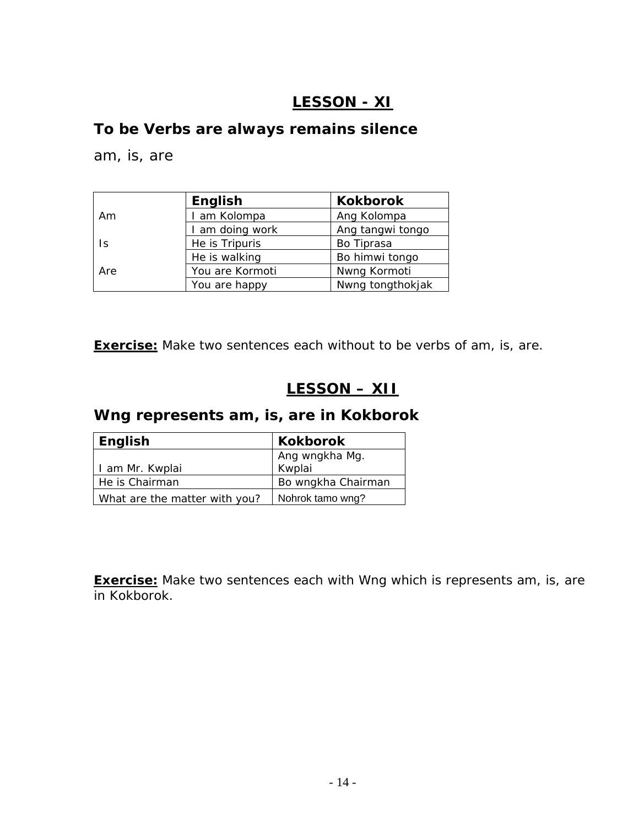# **LESSON - XI**

#### <span id="page-13-0"></span>**To be Verbs are always remains silence**

am, is, are

|     | English         | <b>Kokborok</b>  |
|-----|-----------------|------------------|
| Am  | I am Kolompa    | Ang Kolompa      |
|     | I am doing work | Ang tangwi tongo |
| 1s  | He is Tripuris  | Bo Tiprasa       |
|     | He is walking   | Bo himwi tongo   |
| Are | You are Kormoti | Nwng Kormoti     |
|     | You are happy   | Nwng tongthokjak |

**Exercise:** Make two sentences each without to be verbs of am, is, are.

# **LESSON – XII**

# **Wng represents am, is, are in Kokborok**

| English                       | <b>Kokborok</b>    |
|-------------------------------|--------------------|
|                               | Ang wngkha Mg.     |
| I am Mr. Kwplai               | Kwplai             |
| He is Chairman                | Bo wngkha Chairman |
| What are the matter with you? | Nohrok tamo wng?   |

**Exercise:** Make two sentences each with Wng which is represents am, is, are in Kokborok.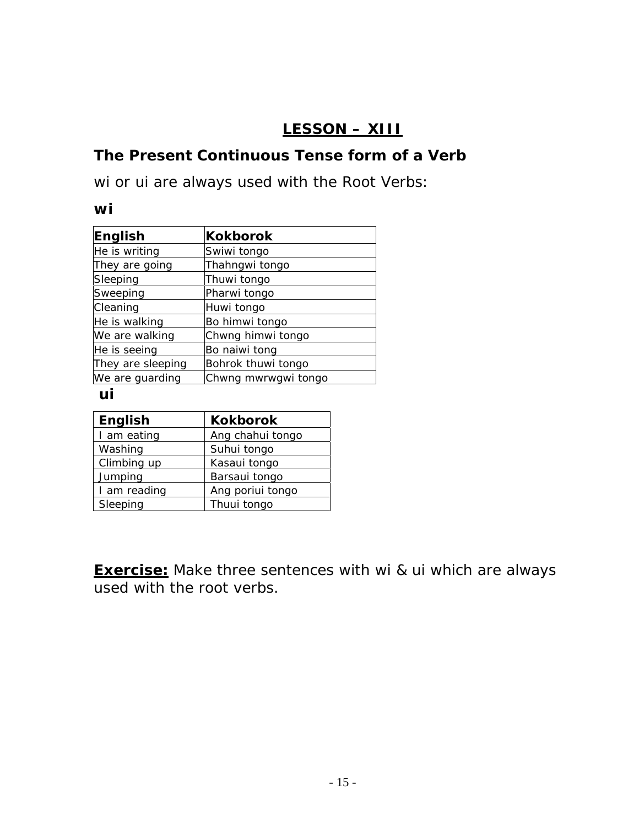# **LESSON – XIII**

# <span id="page-14-0"></span>**The Present Continuous Tense form of a Verb**

wi or ui are always used with the Root Verbs:

#### *wi*

| English           | <b>Kokborok</b>     |
|-------------------|---------------------|
| He is writing     | Swiwi tongo         |
| They are going    | Thahngwi tongo      |
| Sleeping          | Thuwi tongo         |
| Sweeping          | Pharwi tongo        |
| Cleaning          | Huwi tongo          |
| He is walking     | Bo himwi tongo      |
| We are walking    | Chwng himwi tongo   |
| He is seeing      | Bo naiwi tong       |
| They are sleeping | Bohrok thuwi tongo  |
| We are guarding   | Chwng mwrwgwi tongo |

#### *ui*

| <b>English</b> | <b>Kokborok</b>  |
|----------------|------------------|
| I am eating    | Ang chahui tongo |
| Washing        | Suhui tongo      |
| Climbing up    | Kasaui tongo     |
| Jumping        | Barsaui tongo    |
| I am reading   | Ang poriui tongo |
| Sleeping       | Thuui tongo      |

**Exercise:** Make three sentences with wi & ui which are always used with the root verbs.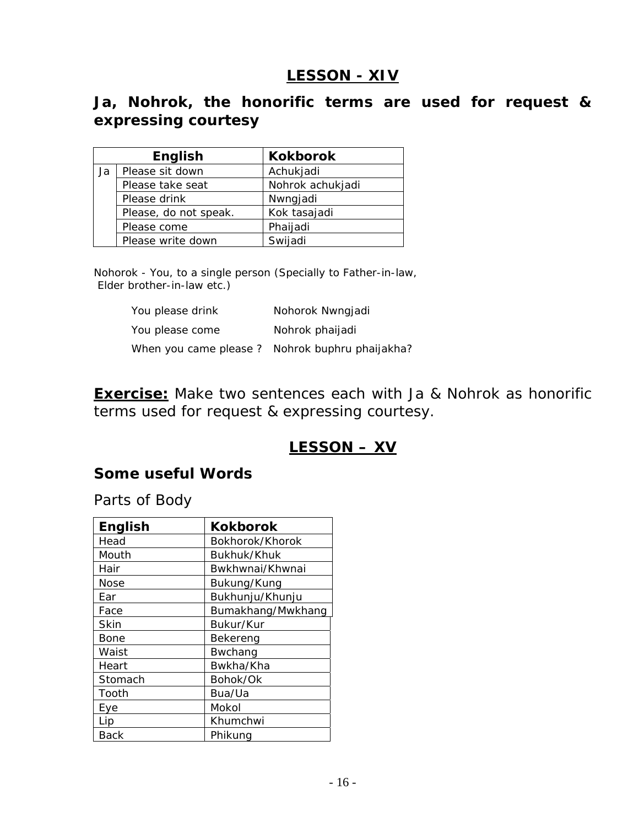# **LESSON - XIV**

# <span id="page-15-0"></span>**Ja, Nohrok, the honorific terms are used for request & expressing courtesy**

|    | English               | <b>Kokborok</b>  |
|----|-----------------------|------------------|
| Ja | Please sit down       | Achukjadi        |
|    | Please take seat      | Nohrok achukjadi |
|    | Please drink          | Nwngjadi         |
|    | Please, do not speak. | Kok tasajadi     |
|    | Please come           | Phaijadi         |
|    | Please write down     | Swijadi          |

Nohorok - You, to a single person (Specially to Father-in-law, Elder brother-in-law etc.)

| You please drink | Nohorok Nwngjadi                               |
|------------------|------------------------------------------------|
| You please come  | Nohrok phaijadi                                |
|                  | When you came please? Nohrok buphru phaijakha? |

**Exercise:** Make two sentences each with Ja & Nohrok as honorific terms used for request & expressing courtesy.

## **LESSON – XV**

#### **Some useful Words**

Parts of Body

| <b>English</b> | <b>Kokborok</b>   |
|----------------|-------------------|
| Head           | Bokhorok/Khorok   |
| Mouth          | Bukhuk/Khuk       |
| Hair           | Bwkhwnai/Khwnai   |
| Nose           | Bukung/Kung       |
| Ear            | Bukhunju/Khunju   |
| Face           | Bumakhang/Mwkhang |
| Skin           | Bukur/Kur         |
| Bone           | Bekereng          |
| Waist          | Bwchang           |
| Heart          | Bwkha/Kha         |
| Stomach        | Bohok/Ok          |
| Tooth          | Bua/Ua            |
| Eye            | Mokol             |
| Lip            | Khumchwi          |
| Back           | Phikung           |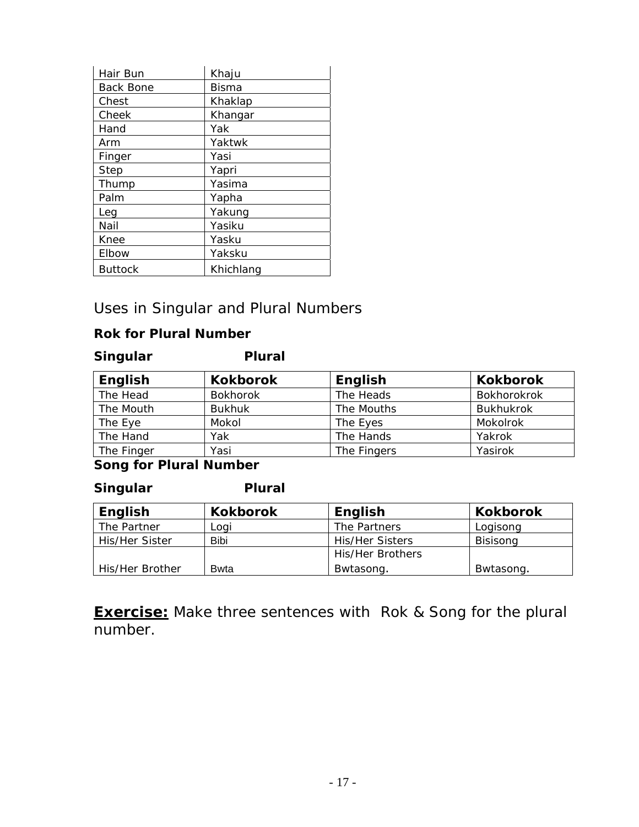| Hair Bun         | Khaju     |  |
|------------------|-----------|--|
| <b>Back Bone</b> | Bisma     |  |
| Chest            | Khaklap   |  |
| Cheek            | Khangar   |  |
| Hand             | Yak       |  |
| Arm              | Yaktwk    |  |
| Finger           | Yasi      |  |
| <b>Step</b>      | Yapri     |  |
| Thump            | Yasima    |  |
| Palm             | Yapha     |  |
| Lea              | Yakung    |  |
| Nail             | Yasiku    |  |
| Knee             | Yasku     |  |
| Elbow            | Yaksku    |  |
| <b>Buttock</b>   | Khichlang |  |

#### Uses in Singular and Plural Numbers

#### **Rok for Plural Number**

#### *Singular Plural*

| English    | <b>Kokborok</b> | English     | <b>Kokborok</b>  |
|------------|-----------------|-------------|------------------|
| The Head   | <b>Bokhorok</b> | The Heads   | Bokhorokrok      |
| The Mouth  | <b>Bukhuk</b>   | The Mouths  | <b>Bukhukrok</b> |
| The Eye    | Mokol           | The Eyes    | Mokolrok         |
| The Hand   | Yak             | The Hands   | Yakrok           |
| The Finger | Yasi            | The Fingers | Yasirok          |

#### **Song for Plural Number**

#### *Singular Plural*

| <b>English</b>  | <b>Kokborok</b> | <b>English</b>   | <b>Kokborok</b> |
|-----------------|-----------------|------------------|-----------------|
| The Partner     | Logi            | The Partners     | Logisong        |
| His/Her Sister  | Bibi            | His/Her Sisters  | <b>Bisisong</b> |
|                 |                 | His/Her Brothers |                 |
| His/Her Brother | Bwta            | Bwtasong.        | Bwtasong.       |

**Exercise:** Make three sentences with Rok & Song for the plural number.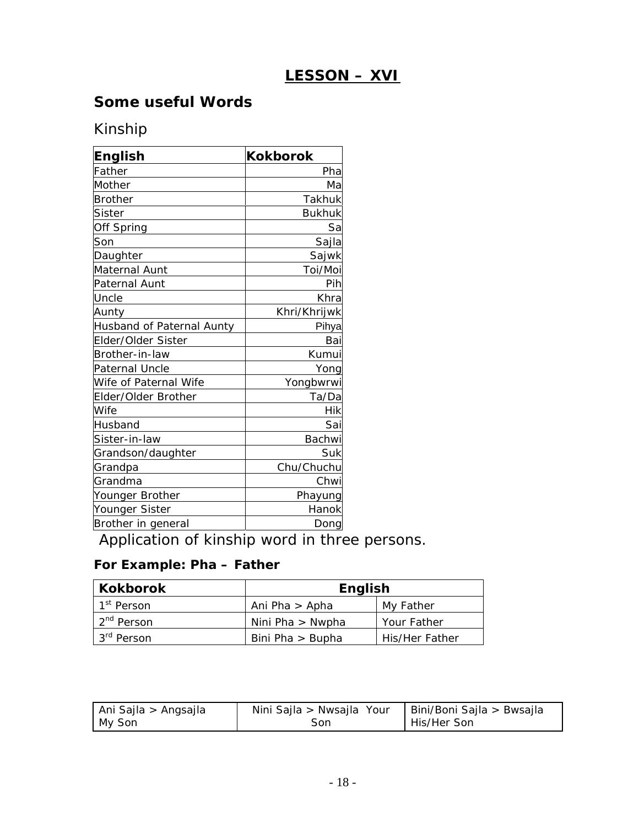# **LESSON – XVI**

### <span id="page-17-0"></span>**Some useful Words**

# Kinship

| <b>English</b>            | <b>Kokborok</b> |
|---------------------------|-----------------|
| Father                    | Pha             |
| Mother                    | Ma              |
| <b>Brother</b>            | Takhuk          |
| Sister                    | <b>Bukhuk</b>   |
| Off Spring                | Sa              |
| Son                       | Sajla           |
| Daughter                  | Sajwk           |
| Maternal Aunt             | Toi/Moi         |
| Paternal Aunt             | Pih             |
| Uncle                     | Khra            |
| Aunty                     | Khri/Khrijwk    |
| Husband of Paternal Aunty | Pihya           |
| Elder/Older Sister        | Bai             |
| Brother-in-law            | Kumui           |
| Paternal Uncle            | Yong            |
| Wife of Paternal Wife     | Yongbwrwi       |
| Elder/Older Brother       | Ta/Da           |
| Wife                      | Hik             |
| Husband                   | Sai             |
| Sister-in-law             | Bachwi          |
| Grandson/daughter         | Suk             |
| Grandpa                   | Chu/Chuchu      |
| Grandma                   | Chwi            |
| Younger Brother           | Phayung         |
| Younger Sister            | Hanok           |
| Brother in general        | Dong            |

Application of kinship word in three persons.

#### **For Example: Pha – Father**

| <b>Kokborok</b>        | <b>English</b>     |                |
|------------------------|--------------------|----------------|
| 1 <sup>st</sup> Person | Ani Pha > Apha     | My Father      |
| 2 <sup>nd</sup> Person | Nini Pha $>$ Nwpha | Your Father    |
| 3 <sup>rd</sup> Person | Bini Pha > Bupha   | His/Her Father |

| Ani Sajla > Angsajla | Nini Sajla > Nwsajla Your | Bini/Boni Sajla > Bwsajla |
|----------------------|---------------------------|---------------------------|
| My Son               | Son                       | His/Her Son               |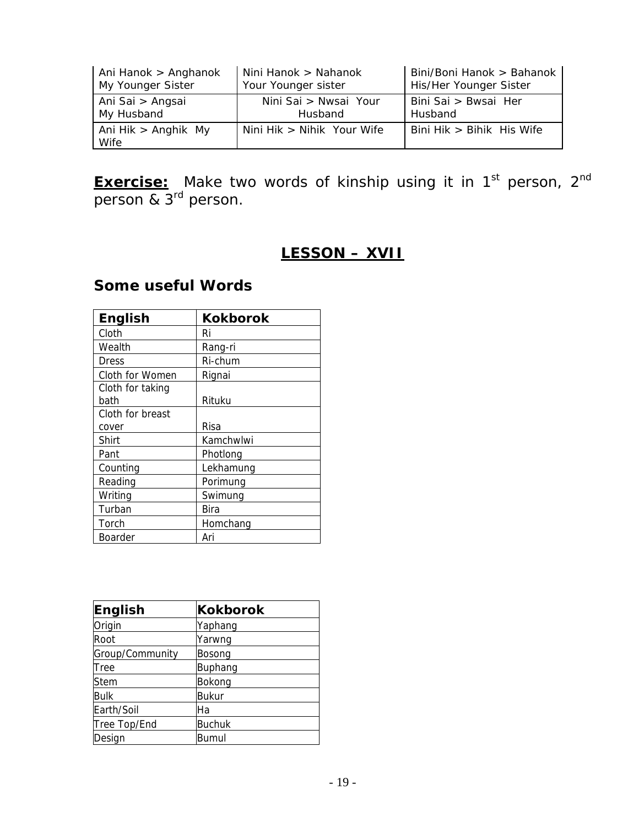<span id="page-18-0"></span>

| Ani Hanok > Anghanok        | Nini Hanok > Nahanok         | Bini/Boni Hanok > Bahanok |
|-----------------------------|------------------------------|---------------------------|
| My Younger Sister           | Your Younger sister          | His/Her Younger Sister    |
| Ani Sai > Angsai            | Nini Sai > Nwsai Your        | Bini Sai > Bwsai Her      |
| My Husband                  | Husband                      | Husband                   |
| Ani Hik > Anghik My<br>Wife | Nini Hik $>$ Nihik Your Wife | Bini Hik > Bihik His Wife |

**Exercise:** Make two words of kinship using it in 1<sup>st</sup> person, 2<sup>nd</sup> person & 3<sup>rd</sup> person.

# **LESSON – XVII**

#### **English Kokborok** Cloth Ri Wealth Rang-ri Dress Ri-chum Cloth for Women Rignai Cloth for taking bath Rituku Cloth for breast cover Risa Shirt **Kamchwlwi** Pant Photlong Counting Lekhamung Reading Porimung Writing Swimung Turban Bira Torch Homchang Boarder | Ari

**Some useful Words** 

| English         | <b>Kokborok</b> |
|-----------------|-----------------|
| Origin          | Yaphang         |
| Root            | Yarwng          |
| Group/Community | Bosong          |
| Tree            | Buphang         |
| <b>Stem</b>     | Bokong          |
| <b>Bulk</b>     | <b>Bukur</b>    |
| Earth/Soil      | Ha              |
| Tree Top/End    | <b>Buchuk</b>   |
| Design          | Bumul           |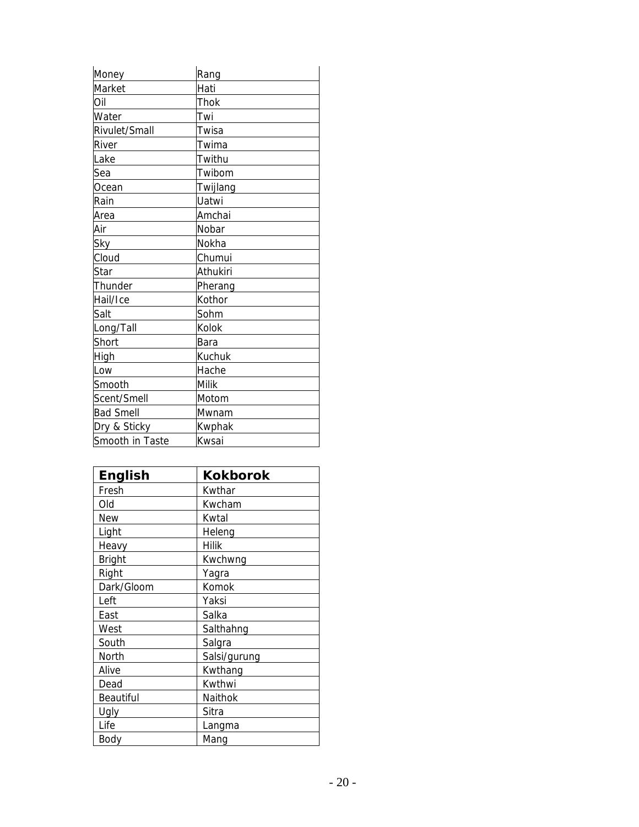| Money            | Rang     |
|------------------|----------|
| Market           | Hati     |
| Oil              | Thok     |
| Water            | Twi      |
| Rivulet/Small    | Twisa    |
| River            | Twima    |
| Lake             | Twithu   |
| Sea              | Twibom   |
| Ocean            | Twijlang |
| Rain             | Uatwi    |
| Area             | Amchai   |
| Air              | Nobar    |
| Sky              | Nokha    |
| Cloud            | Chumui   |
| Star             | Athukiri |
| Thunder          | Pherang  |
| Hail/Ice         | Kothor   |
| Salt             | Sohm     |
| Long/Tall        | Kolok    |
| Short            | Bara     |
| High             | Kuchuk   |
| Low              | Hache    |
| Smooth           | Milik    |
| Scent/Smell      | Motom    |
| <b>Bad Smell</b> | Mwnam    |
| Dry & Sticky     | Kwphak   |
| Smooth in Taste  | Kwsai    |

| <b>English</b> | <b>Kokborok</b> |
|----------------|-----------------|
| Fresh          | Kwthar          |
| Old            | Kwcham          |
| <b>New</b>     | Kwtal           |
| Light          | Heleng          |
| Heavy          | <b>Hilik</b>    |
| <b>Bright</b>  | Kwchwng         |
| Right          | Yagra           |
| Dark/Gloom     | Komok           |
| Left           | Yaksi           |
| East           | Salka           |
| West           | Salthahng       |
| South          | Salgra          |
| North          | Salsi/gurung    |
| Alive          | Kwthang         |
| Dead           | Kwthwi          |
| Beautiful      | Naithok         |
| Ugly           | Sitra           |
| Life           | Langma          |
| Body           | Mang            |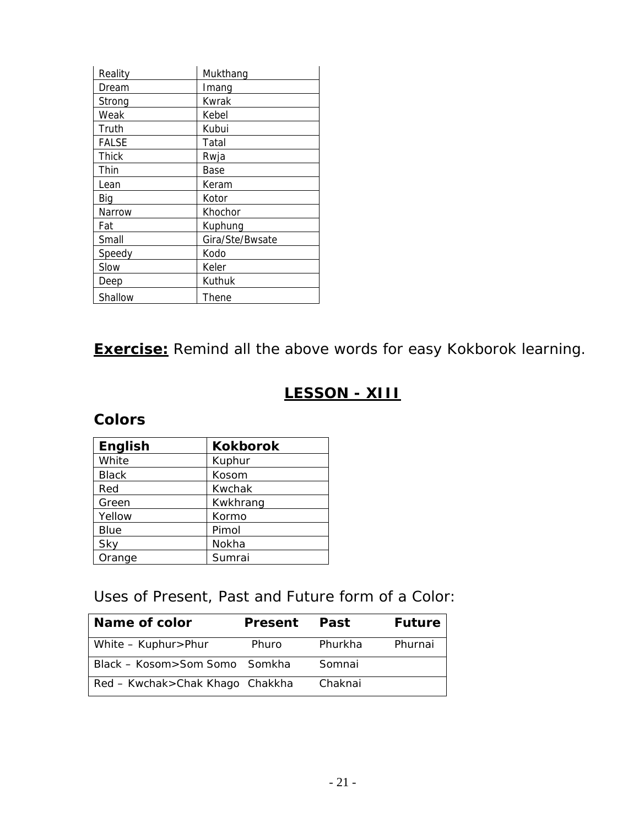<span id="page-20-0"></span>

| Reality | Mukthang        |
|---------|-----------------|
| Dream   | Imang           |
| Strong  | Kwrak           |
| Weak    | Kebel           |
| Truth   | Kubui           |
| FALSE   | Tatal           |
| Thick   | Rwja            |
| Thin    | Base            |
| Lean    | Keram           |
| Big     | Kotor           |
| Narrow  | Khochor         |
| Fat     | Kuphung         |
| Small   | Gira/Ste/Bwsate |
| Speedy  | Kodo            |
| Slow    | Keler           |
| Deep    | Kuthuk          |
| Shallow | Thene           |

**Exercise:** Remind all the above words for easy Kokborok learning.

# **LESSON - XIII**

#### **Colors**

| <b>English</b> | <b>Kokborok</b> |
|----------------|-----------------|
| White          | Kuphur          |
| <b>Black</b>   | Kosom           |
| Red            | Kwchak          |
| Green          | Kwkhrang        |
| Yellow         | Kormo           |
| <b>Blue</b>    | Pimol           |
| Sky            | Nokha           |
| Orange         | Sumrai          |

Uses of Present, Past and Future form of a Color:

| <b>Name of color</b>              | <b>Present</b> | Past    | <b>Future</b> |
|-----------------------------------|----------------|---------|---------------|
| White - Kuphur>Phur               | Phuro          | Phurkha | Phurnai       |
| Black - Kosom>Som Somo Somkha     |                | Somnai  |               |
| Red – Kwchak > Chak Khago Chakkha |                | Chaknai |               |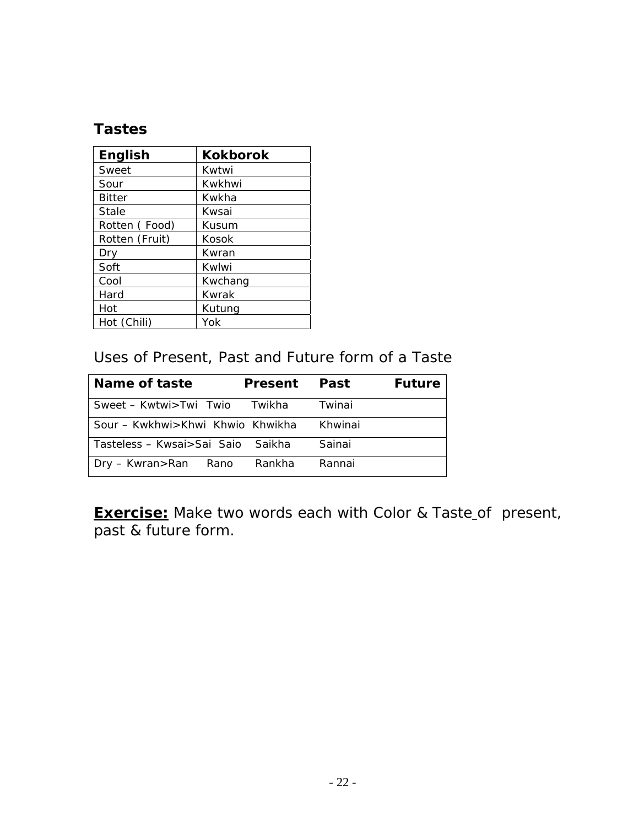# **Tastes**

| <b>English</b> | <b>Kokborok</b> |
|----------------|-----------------|
| Sweet          | Kwtwi           |
| Sour           | Kwkhwi          |
| <b>Bitter</b>  | Kwkha           |
| <b>Stale</b>   | Kwsai           |
| Rotten (Food)  | Kusum           |
| Rotten (Fruit) | Kosok           |
| Drv            | Kwran           |
| Soft           | Kwlwi           |
| Cool           | Kwchang         |
| Hard           | Kwrak           |
| Hot            | Kutung          |
| Hot (Chili)    | Yok             |

#### Uses of Present, Past and Future form of a Taste

| <b>Name of taste</b>                 | <b>Present</b> Past |         | <b>Future</b> |
|--------------------------------------|---------------------|---------|---------------|
| Sweet – Kwtwi > Twi Twio Twikha      |                     | Twinai  |               |
| Sour - Kwkhwi > Khwi Khwio Khwikha   |                     | Khwinai |               |
| l Tasteless – Kwsai>Sai Saio §Saikha |                     | Sainai  |               |
| Dry – Kwran > Ran Rano               | Rankha              | Rannai  |               |

**Exercise:** Make two words each with Color & Taste\_of present, past & future form.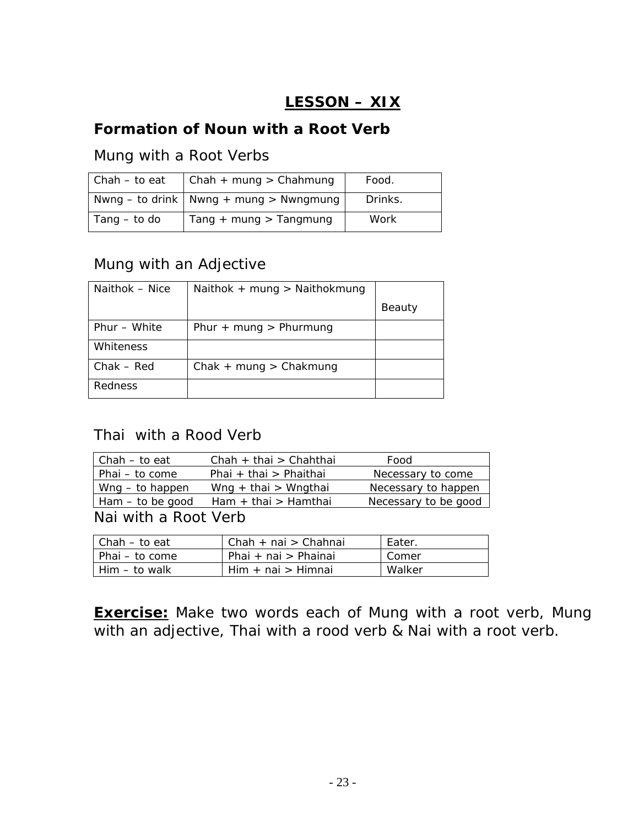# **LESSON – XIX**

# <span id="page-22-0"></span>**Formation of Noun with a Root Verb**

#### Mung with a Root Verbs

| $Chah - to eat$ | Chah + mung > Chahmung                   | Food.   |
|-----------------|------------------------------------------|---------|
|                 | Nwng – to drink   Nwng + mung > Nwngmung | Drinks. |
| Tang $-$ to do  | $Tang + mung > Tangmung$                 | Work    |

#### Mung with an Adjective

| Naithok - Nice | Naithok + mung > Naithokmung |        |
|----------------|------------------------------|--------|
|                |                              | Beauty |
| Phur – White   | Phur + mung > Phurmung       |        |
| Whiteness      |                              |        |
| $Chak - Red$   | $Chak + mung > Chakmung$     |        |
| Redness        |                              |        |

### Thai with a Rood Verb

| Chah - to eat        | Chah + thai > Chahthai | Food                 |
|----------------------|------------------------|----------------------|
| Phai - to come       | Phai + thai > Phaithai | Necessary to come    |
| $Wng - to happen$    | Wng + thai > Wngthai   | Necessary to happen  |
| $Ham - to be good$   | Ham + thai > Hamthai   | Necessary to be good |
| Nai with a Root Verb |                        |                      |

| l Chah – to eat  | $Chah + nai > Chahnai$ | Eater. |
|------------------|------------------------|--------|
| l Phai – to come | Phai + nai > Phainai   | Comer  |
| l Him – to walk  | $Him + nai > Himnai$   | Walker |

**Exercise:** Make two words each of Mung with a root verb, Mung with an adjective, Thai with a rood verb & Nai with a root verb.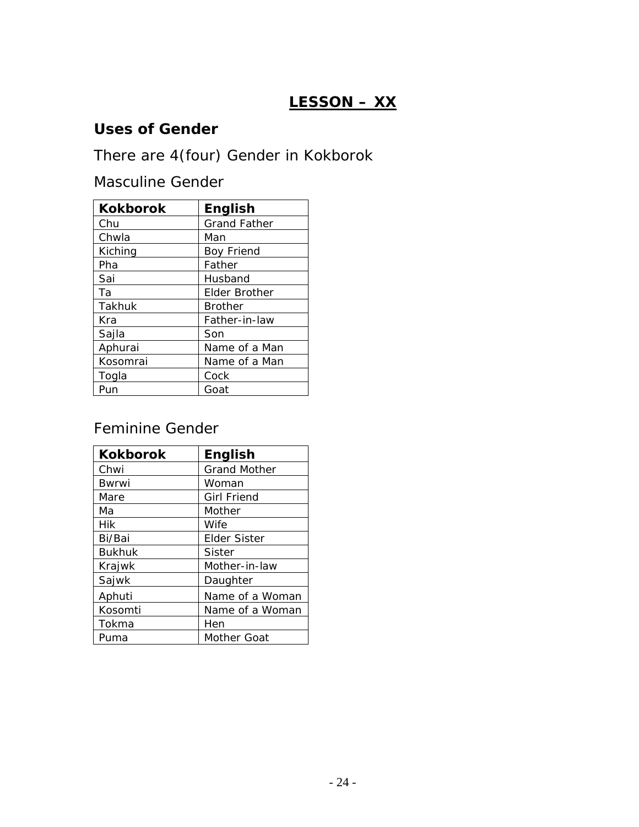# **LESSON – XX**

# <span id="page-23-0"></span>**Uses of Gender**

There are 4(four) Gender in Kokborok

Masculine Gender

| <b>Kokborok</b> | <b>English</b>      |
|-----------------|---------------------|
| Chu             | <b>Grand Father</b> |
| Chwla           | Man                 |
| Kiching         | <b>Boy Friend</b>   |
| Pha             | Father              |
| Sai             | Husband             |
| Tа              | Elder Brother       |
| Takhuk          | <b>Brother</b>      |
| Kra             | Father-in-law       |
| Sajla           | Son                 |
| Aphurai         | Name of a Man       |
| Kosomrai        | Name of a Man       |
| Togla           | Cock                |
| Pun             | Goat                |

# Feminine Gender

| <b>Kokborok</b> | <b>English</b>      |
|-----------------|---------------------|
| Chwi            | <b>Grand Mother</b> |
| <b>Bwrwi</b>    | Woman               |
| Mare            | <b>Girl Friend</b>  |
| Мa              | Mother              |
| Hik             | <b>Wife</b>         |
| Bi/Bai          | <b>Elder Sister</b> |
| <b>Bukhuk</b>   | Sister              |
| Krajwk          | Mother-in-law       |
| Sajwk           | Daughter            |
| Aphuti          | Name of a Woman     |
| Kosomti         | Name of a Woman     |
| Tokma           | Hen                 |
| Puma            | Mother Goat         |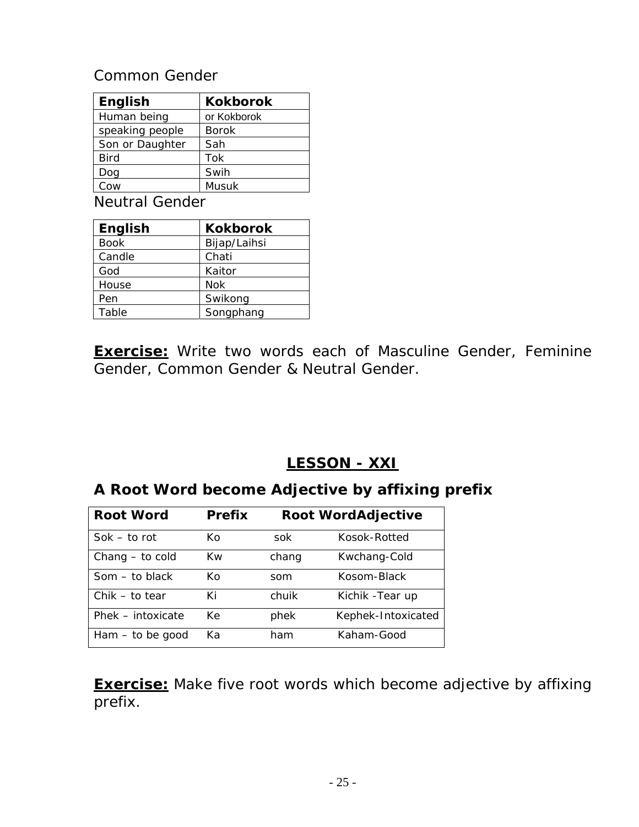#### <span id="page-24-0"></span>Common Gender

| <b>English</b>  | <b>Kokborok</b> |
|-----------------|-----------------|
| Human being     | or Kokborok     |
| speaking people | <b>Borok</b>    |
| Son or Daughter | Sah             |
| <b>Bird</b>     | Tok             |
| Dog             | Swih            |
| Cow             | Musuk           |

Neutral Gender

| <b>English</b> | <b>Kokborok</b> |
|----------------|-----------------|
| <b>Book</b>    | Bijap/Laihsi    |
| Candle         | Chati           |
| God            | Kaitor          |
| House          | <b>Nok</b>      |
| Pen            | Swikong         |
| Table          | Songphang       |

**Exercise:** Write two words each of Masculine Gender, Feminine Gender, Common Gender & Neutral Gender.

# **LESSON - XXI**

# **A Root Word become Adjective by affixing prefix**

| <b>Root Word</b>   | <b>Prefix</b> |       | <b>Root WordAdjective</b> |
|--------------------|---------------|-------|---------------------------|
| $Sok - to rot$     | Кo            | sok   | Kosok-Rotted              |
| Chang - to cold    | Kw            | chang | Kwchang-Cold              |
| $Som - to black$   | Ko            | som   | Kosom-Black               |
| $Chik - to tear$   | Кi            | chuik | Kichik - Tear up          |
| Phek - intoxicate  | Кe            | phek  | Kephek-Intoxicated        |
| $Ham - to be good$ | Kа            | ham   | Kaham-Good                |

**Exercise:** Make five root words which become adjective by affixing prefix.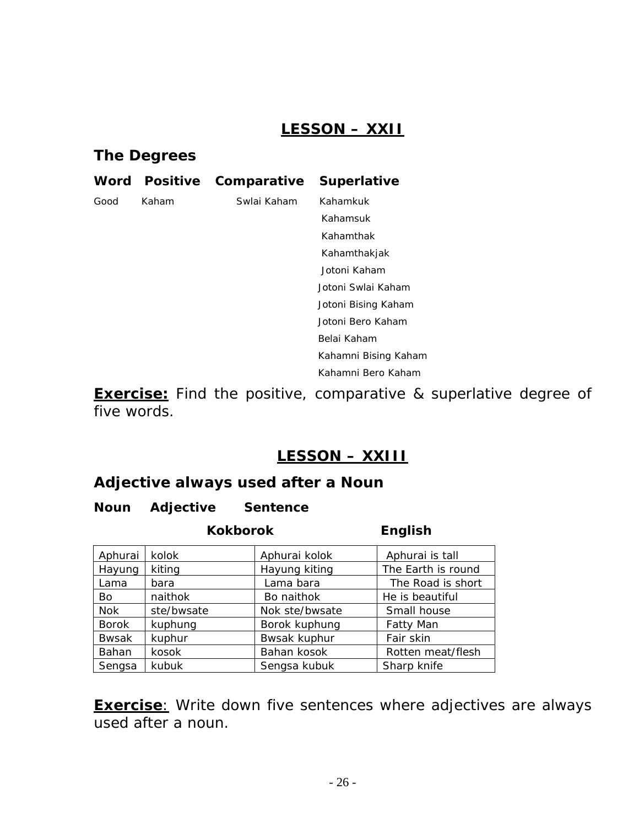# **LESSON – XXII**

#### <span id="page-25-0"></span>**The Degrees**

| Word | <b>Positive</b> | Comparative | <b>Superlative</b>   |
|------|-----------------|-------------|----------------------|
| Good | Kaham           | Swlai Kaham | Kahamkuk             |
|      |                 |             | Kahamsuk             |
|      |                 |             | Kahamthak            |
|      |                 |             | Kahamthakjak         |
|      |                 |             | Jotoni Kaham         |
|      |                 |             | Jotoni Swlai Kaham   |
|      |                 |             | Jotoni Bising Kaham  |
|      |                 |             | Jotoni Bero Kaham    |
|      |                 |             | Belai Kaham          |
|      |                 |             | Kahamni Bising Kaham |
|      |                 |             | Kahamni Bero Kaham   |

**Exercise:** Find the positive, comparative & superlative degree of five words.

## **LESSON – XXIII**

#### **Adjective always used after a Noun**

#### **Noun Adjective Sentence**

|              | <b>Kokborok</b> | <b>English</b> |                    |
|--------------|-----------------|----------------|--------------------|
| Aphurai      | kolok           | Aphurai kolok  | Aphurai is tall    |
| Hayung       | kiting          | Hayung kiting  | The Earth is round |
| Lama         | bara            | Lama bara      | The Road is short  |
| Bo           | naithok         | Bo naithok     | He is beautiful    |
| <b>Nok</b>   | ste/bwsate      | Nok ste/bwsate | Small house        |
| <b>Borok</b> | kuphung         | Borok kuphung  | <b>Fatty Man</b>   |
| <b>Bwsak</b> | kuphur          | Bwsak kuphur   | Fair skin          |
| Bahan        | kosok           | Bahan kosok    | Rotten meat/flesh  |
| Sengsa       | kubuk           | Sengsa kubuk   | Sharp knife        |

**Exercise**: Write down five sentences where adjectives are always used after a noun.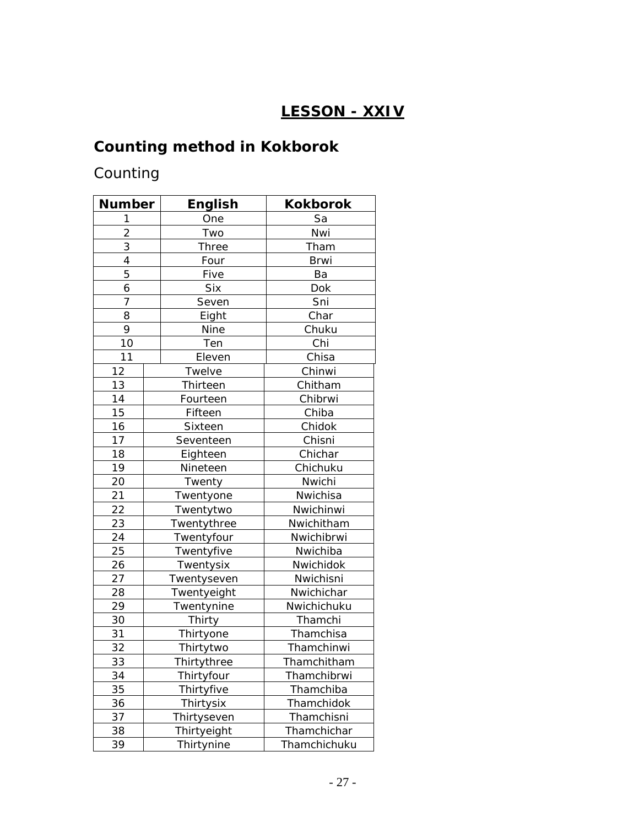# **LESSON - XXIV**

# <span id="page-26-0"></span>**Counting method in Kokborok**

# Counting

| <b>Number</b>  | English            | Kokborok     |
|----------------|--------------------|--------------|
| 1              | One                | Sa           |
| $\overline{2}$ | Two                | Nwi          |
| 3              | <b>Three</b>       | Tham         |
| 4              | Four               | <b>Brwi</b>  |
| 5              | Five               | Ba           |
| 6              | <b>Six</b>         | Dok          |
| 7              | Seven              | Sni          |
| 8              | Eight              | Char         |
| 9              | Nine               | Chuku        |
| 10             | Ten                | Chi          |
| 11             | Eleven             | Chisa        |
| 12             | Twelve             | Chinwi       |
| 13             | Thirteen           | Chitham      |
| 14             | Fourteen           | Chibrwi      |
| 15             | Fifteen            | Chiba        |
| 16             | Sixteen            | Chidok       |
| 17             | Seventeen          | Chisni       |
| 18             | Eighteen           | Chichar      |
| 19             | Nineteen           | Chichuku     |
| 20             | Twenty             | Nwichi       |
| 21             | Twentyone          | Nwichisa     |
| 22             | Twentytwo          | Nwichinwi    |
| 23             | Twentythree        | Nwichitham   |
| 24             | Twentyfour         | Nwichibrwi   |
| 25             | Twentyfive         | Nwichiba     |
| 26             | Twentysix          | Nwichidok    |
| 27             | Twentyseven        | Nwichisni    |
| 28             | Twentyeight        | Nwichichar   |
| 29             | Twentynine         | Nwichichuku  |
| 30             | Thirty             | Thamchi      |
| 31             | Thirtyone          | Thamchisa    |
| 32             | Thirtytwo          | Thamchinwi   |
| 33             | <b>Thirtythree</b> | Thamchitham  |
| 34             | Thirtyfour         | Thamchibrwi  |
| 35             | Thirtyfive         | Thamchiba    |
| 36             | Thirtysix          | Thamchidok   |
| 37             | Thirtyseven        | Thamchisni   |
| 38             | Thirtyeight        | Thamchichar  |
| 39             | Thirtynine         | Thamchichuku |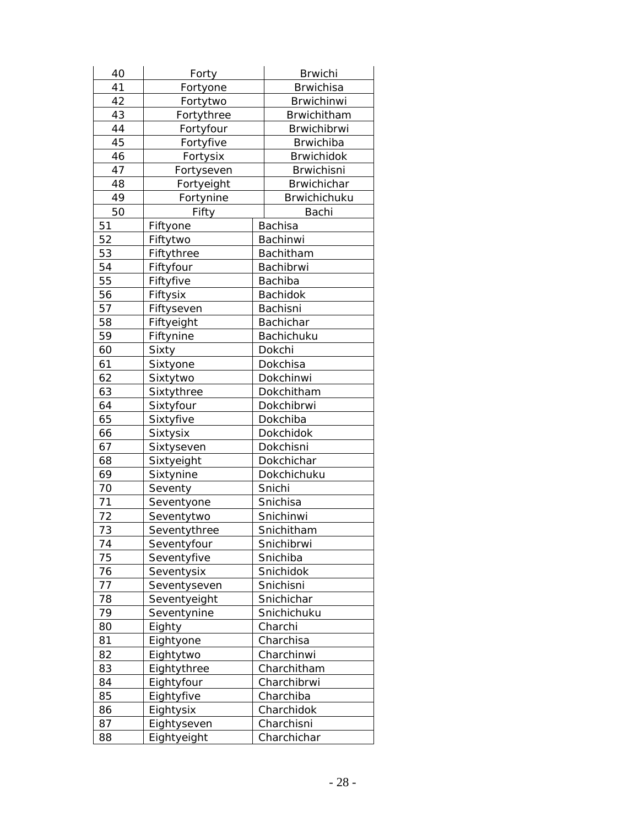| 40 | Forty        | <b>Brwichi</b>     |
|----|--------------|--------------------|
| 41 | Fortyone     | <b>Brwichisa</b>   |
| 42 | Fortytwo     | <b>Brwichinwi</b>  |
| 43 | Fortythree   | Brwichitham        |
| 44 | Fortyfour    | Brwichibrwi        |
| 45 | Fortyfive    | <b>Brwichiba</b>   |
| 46 | Fortysix     | <b>Brwichidok</b>  |
| 47 | Fortyseven   | <b>Brwichisni</b>  |
| 48 | Fortyeight   | <b>Brwichichar</b> |
| 49 | Fortynine    | Brwichichuku       |
| 50 | Fifty        | Bachi              |
| 51 | Fiftyone     | <b>Bachisa</b>     |
| 52 | Fiftytwo     | Bachinwi           |
| 53 | Fiftythree   | Bachitham          |
| 54 | Fiftyfour    | Bachibrwi          |
| 55 | Fiftyfive    | Bachiba            |
| 56 | Fiftysix     | Bachidok           |
| 57 | Fiftyseven   | Bachisni           |
| 58 | Fiftyeight   | Bachichar          |
| 59 | Fiftynine    | Bachichuku         |
| 60 | Sixty        | Dokchi             |
| 61 | Sixtyone     | Dokchisa           |
| 62 | Sixtytwo     | Dokchinwi          |
| 63 | Sixtythree   | Dokchitham         |
| 64 | Sixtyfour    | Dokchibrwi         |
| 65 | Sixtyfive    | Dokchiba           |
| 66 | Sixtysix     | Dokchidok          |
| 67 | Sixtyseven   | Dokchisni          |
| 68 | Sixtyeight   | Dokchichar         |
| 69 | Sixtynine    | Dokchichuku        |
| 70 | Seventy      | Snichi             |
| 71 | Seventyone   | Snichisa           |
| 72 | Seventytwo   | Snichinwi          |
| 73 | Seventythree | Snichitham         |
| 74 | Seventyfour  | Snichibrwi         |
| 75 | Seventyfive  | Snichiba           |
| 76 | Seventysix   | Snichidok          |
| 77 | Seventyseven | Snichisni          |
| 78 | Seventyeight | Snichichar         |
| 79 | Seventynine  | Snichichuku        |
| 80 | Eighty       | Charchi            |
| 81 | Eightyone    | Charchisa          |
| 82 | Eightytwo    | Charchinwi         |
| 83 | Eightythree  | Charchitham        |
| 84 | Eightyfour   | Charchibrwi        |
| 85 | Eightyfive   | Charchiba          |
| 86 | Eightysix    | Charchidok         |
| 87 | Eightyseven  | Charchisni         |
| 88 | Eightyeight  | Charchichar        |
|    |              |                    |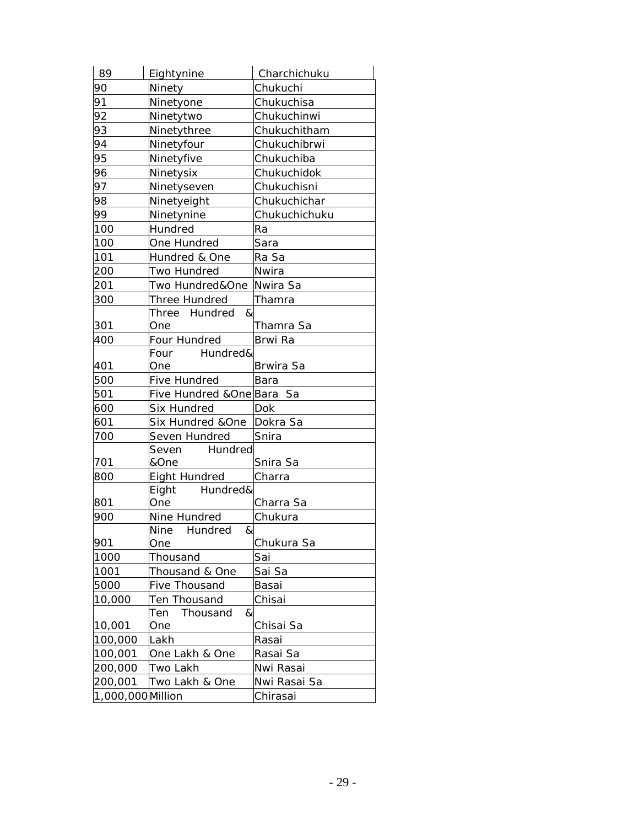| 89                | Eightynine                  | Charchichuku     |
|-------------------|-----------------------------|------------------|
| 90                | Ninety                      | Chukuchi         |
| 91                | Ninetyone                   | Chukuchisa       |
| 92                | Ninetytwo                   | Chukuchinwi      |
| 93                | Ninetythree                 | Chukuchitham     |
| 94                | Ninetyfour                  | Chukuchibrwi     |
| 95                | Ninetyfive                  | Chukuchiba       |
| 96                | Ninetysix                   | Chukuchidok      |
| 97                | Ninetyseven                 | Chukuchisni      |
| 98                | Ninetyeight                 | Chukuchichar     |
| 99                | Ninetynine                  | Chukuchichuku    |
| 100               | Hundred                     | Ra               |
| 100               | One Hundred                 | Sara             |
| 101               | Hundred & One               | Ra Sa            |
| 200               | Two Hundred                 | Nwira            |
| 201               | Two Hundred&One             | Nwira Sa         |
| 300               | Three Hundred               | Thamra           |
|                   | Three Hundred<br>&          |                  |
| 301               | One                         | Thamra Sa        |
| 400               | Four Hundred                | Brwi Ra          |
|                   | Hundred&<br>Four            |                  |
| 401               | One                         | <b>Brwira Sa</b> |
| 500               | Five Hundred                | Bara             |
| 501               | Five Hundred &One Bara Sa   |                  |
| 600               | Six Hundred                 | Dok              |
| 601               | Six Hundred &One            | Dokra Sa         |
| 700               | Seven Hundred               | Snira            |
|                   | Hundred<br>Seven            |                  |
| 701               | &One                        | Snira Sa         |
| 800               | Eight Hundred               | Charra           |
|                   | Eight<br>Hundred&           |                  |
| 801               | One                         | Charra Sa        |
| 900               | Nine Hundred                | Chukura          |
|                   | &<br><b>Nine</b><br>Hundred |                  |
| 901               | One                         | Chukura Sa       |
| 1000              | Thousand                    | Sai              |
| 1001              | Thousand & One              | Sai Sa           |
| 5000              | Five Thousand               | Basai            |
| 10,000            | Ten Thousand                | Chisai           |
|                   | &<br>Ten<br>Thousand        |                  |
| 10,001            | One                         | Chisai Sa        |
| 100,000           | Lakh                        | Rasai            |
| 100,001           | One Lakh & One              | Rasai Sa         |
| 200,000           | Two Lakh                    | Nwi Rasai        |
| 200,001           | Two Lakh & One              | Nwi Rasai Sa     |
| 1,000,000 Million |                             | Chirasai         |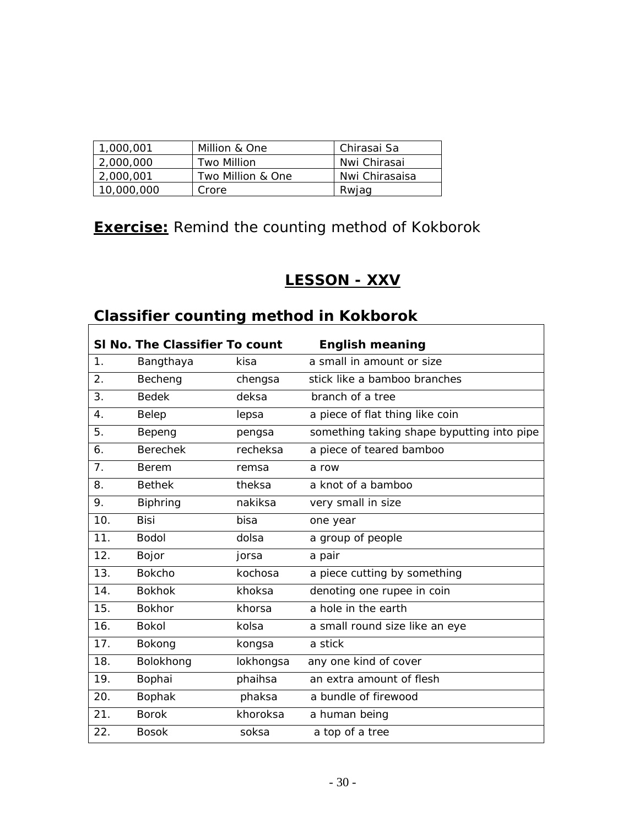<span id="page-29-0"></span>

| 1,000,001  | Million & One     | Chirasai Sa    |
|------------|-------------------|----------------|
| 2,000,000  | Two Million       | Nwi Chirasai   |
| 2,000,001  | Two Million & One | Nwi Chirasaisa |
| 10,000,000 | Crore             | Rwiag          |

# **Exercise:** Remind the counting method of Kokborok

# **LESSON - XXV**

 $\overline{\mathbf{1}}$ 

# **Classifier counting method in Kokborok**

|                  | SI No. The Classifier To count |           | <b>English meaning</b>                     |
|------------------|--------------------------------|-----------|--------------------------------------------|
| 1.               | Bangthaya                      | kisa      | a small in amount or size                  |
| $\overline{2}$ . | Becheng                        | chengsa   | stick like a bamboo branches               |
| 3.               | <b>Bedek</b>                   | deksa     | branch of a tree                           |
| 4.               | Belep                          | lepsa     | a piece of flat thing like coin            |
| 5.               | Bepeng                         | pengsa    | something taking shape byputting into pipe |
| 6.               | <b>Berechek</b>                | recheksa  | a piece of teared bamboo                   |
| 7.               | Berem                          | remsa     | a row                                      |
| 8.               | <b>Bethek</b>                  | theksa    | a knot of a bamboo                         |
| 9.               | <b>Biphring</b>                | nakiksa   | very small in size                         |
| 10.              | Bisi                           | bisa      | one year                                   |
| 11.              | <b>Bodol</b>                   | dolsa     | a group of people                          |
| 12.              | Bojor                          | jorsa     | a pair                                     |
| 13.              | <b>Bokcho</b>                  | kochosa   | a piece cutting by something               |
| 14.              | <b>Bokhok</b>                  | khoksa    | denoting one rupee in coin                 |
| 15.              | <b>Bokhor</b>                  | khorsa    | a hole in the earth                        |
| 16.              | <b>Bokol</b>                   | kolsa     | a small round size like an eye             |
| 17.              | Bokong                         | kongsa    | a stick                                    |
| 18.              | Bolokhong                      | lokhongsa | any one kind of cover                      |
| 19.              | Bophai                         | phaihsa   | an extra amount of flesh                   |
| 20.              | <b>Bophak</b>                  | phaksa    | a bundle of firewood                       |
| 21.              | <b>Borok</b>                   | khoroksa  | a human being                              |
| 22.              | <b>Bosok</b>                   | soksa     | a top of a tree                            |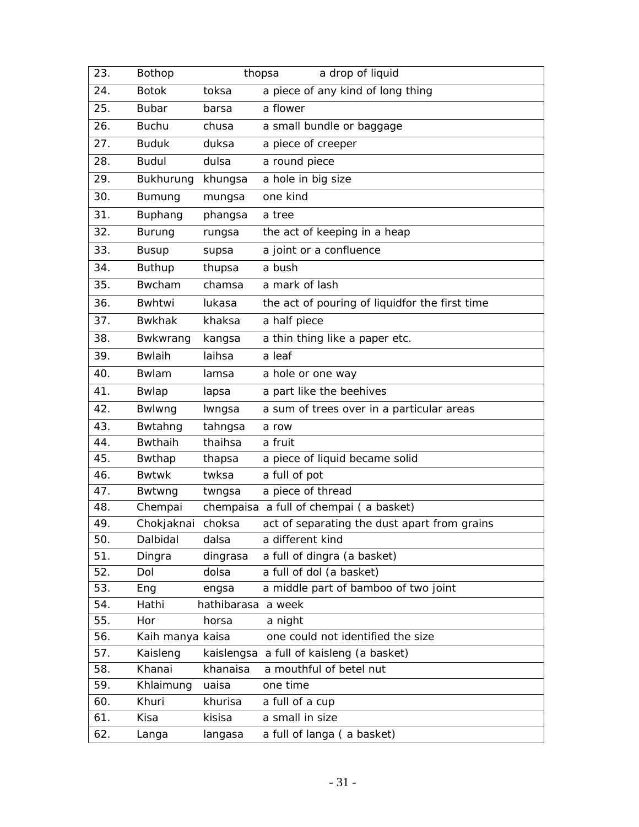| 23.        | Bothop                  |                    | a drop of liquid<br>thopsa                     |
|------------|-------------------------|--------------------|------------------------------------------------|
| 24.        | <b>Botok</b>            | toksa              | a piece of any kind of long thing              |
| 25.        | <b>Bubar</b>            | barsa              | a flower                                       |
| 26.        | <b>Buchu</b>            | chusa              | a small bundle or baggage                      |
| 27.        | <b>Buduk</b>            | duksa              | a piece of creeper                             |
| 28.        | <b>Budul</b>            | dulsa              | a round piece                                  |
| 29.        | Bukhurung               | khungsa            | a hole in big size                             |
| 30.        | Bumung                  | mungsa             | one kind                                       |
| 31.        | Buphang                 | phangsa            | a tree                                         |
| 32.        | <b>Burung</b>           | rungsa             | the act of keeping in a heap                   |
| 33.        | <b>Busup</b>            | supsa              | a joint or a confluence                        |
| 34.        | <b>Buthup</b>           | thupsa             | a bush                                         |
| 35.        | Bwcham                  | chamsa             | a mark of lash                                 |
| 36.        | Bwhtwi                  | lukasa             | the act of pouring of liquidfor the first time |
| 37.        | <b>Bwkhak</b>           | khaksa             | a half piece                                   |
| 38.        | Bwkwrang                | kangsa             | a thin thing like a paper etc.                 |
| 39.        | <b>Bwlaih</b>           | laihsa             | a leaf                                         |
| 40.        | Bwlam                   | lamsa              | a hole or one way                              |
| 41.        | Bwlap                   | lapsa              | a part like the beehives                       |
| 42.        | Bwlwng                  | Iwngsa             | a sum of trees over in a particular areas      |
| 43.        | Bwtahng                 | tahngsa            | a row                                          |
| 44.        | <b>Bwthaih</b>          | thaihsa            | a fruit                                        |
| 45.        | Bwthap                  | thapsa             | a piece of liquid became solid                 |
| 46.        | <b>Bwtwk</b>            | twksa              | a full of pot                                  |
| 47.        | Bwtwng                  | twngsa             | a piece of thread                              |
| 48.        | Chempai                 |                    | chempaisa a full of chempai (a basket)         |
| 49.        | Chokjaknai              | choksa             | act of separating the dust apart from grains   |
| 50.        | Dalbidal                | dalsa              | a different kind                               |
| 51.        | Dingra                  | dingrasa           | a full of dingra (a basket)                    |
| 52.        | Dol                     | dolsa              | a full of dol (a basket)                       |
| 53.        | Eng                     | engsa              | a middle part of bamboo of two joint           |
| 54.<br>55. | Hathi                   | hathibarasa a week |                                                |
| 56.        | Hor<br>Kaih manya kaisa | horsa              | a night<br>one could not identified the size   |
| 57.        | Kaisleng                | kaislengsa         | a full of kaisleng (a basket)                  |
| 58.        | Khanai                  | khanaisa           | a mouthful of betel nut                        |
| 59.        | Khlaimung               | uaisa              | one time                                       |
| 60.        | Khuri                   | khurisa            | a full of a cup                                |
| 61.        | Kisa                    | kisisa             | a small in size                                |
| 62.        | Langa                   | langasa            | a full of langa (a basket)                     |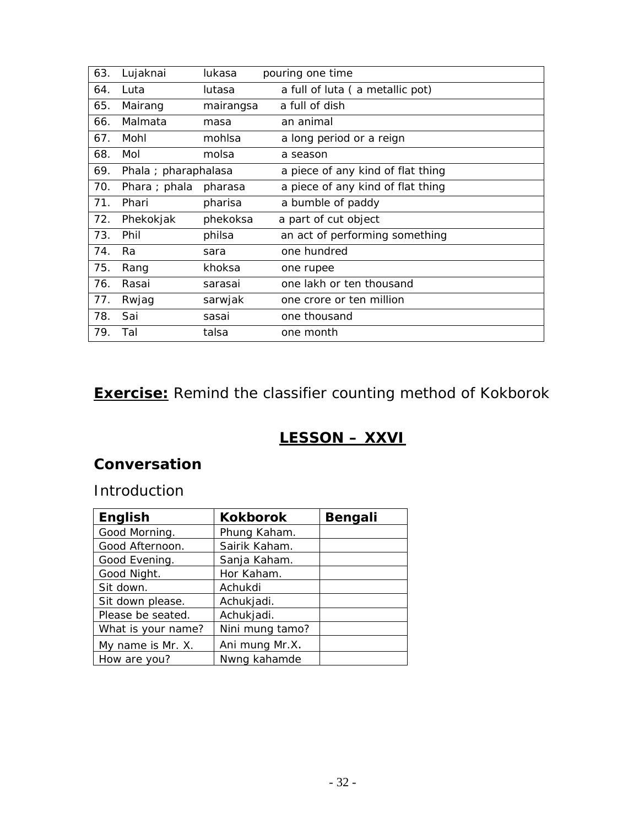<span id="page-31-0"></span>

| 63. | Lujaknai             | lukasa    | pouring one time                  |
|-----|----------------------|-----------|-----------------------------------|
| 64. | Luta                 | lutasa    | a full of luta (a metallic pot)   |
| 65. | Mairang              | mairangsa | a full of dish                    |
| 66. | Malmata              | masa      | an animal                         |
| 67. | Mohl                 | mohlsa    | a long period or a reign          |
| 68. | Mol                  | molsa     | a season                          |
| 69. | Phala ; pharaphalasa |           | a piece of any kind of flat thing |
| 70. | Phara ; phala        | pharasa   | a piece of any kind of flat thing |
| 71. | Phari                | pharisa   | a bumble of paddy                 |
| 72. | Phekokjak            | phekoksa  | a part of cut object              |
| 73. | Phil                 | philsa    | an act of performing something    |
| 74. | Ra                   | sara      | one hundred                       |
| 75. | Rang                 | khoksa    | one rupee                         |
| 76. | Rasai                | sarasai   | one lakh or ten thousand          |
| 77. | Rwjag                | sarwjak   | one crore or ten million          |
| 78. | Sai                  | sasai     | one thousand                      |
| 79. | Tal                  | talsa     | one month                         |
|     |                      |           |                                   |

**Exercise:** Remind the classifier counting method of Kokborok

# **LESSON – XXVI**

# **Conversation**

#### Introduction

| <b>English</b>     | <b>Kokborok</b> | <b>Bengali</b> |
|--------------------|-----------------|----------------|
| Good Morning.      | Phung Kaham.    |                |
| Good Afternoon.    | Sairik Kaham.   |                |
| Good Evening.      | Sanja Kaham.    |                |
| Good Night.        | Hor Kaham.      |                |
| Sit down.          | Achukdi         |                |
| Sit down please.   | Achukjadi.      |                |
| Please be seated.  | Achukjadi.      |                |
| What is your name? | Nini mung tamo? |                |
| My name is Mr. X.  | Ani mung Mr.X.  |                |
| How are you?       | Nwng kahamde    |                |